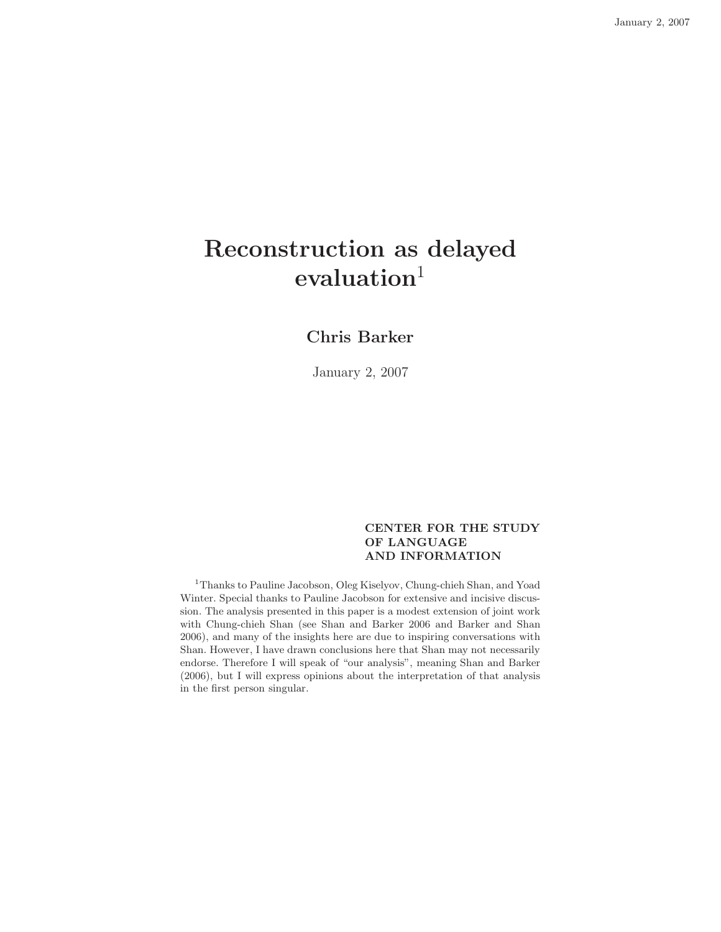# Reconstruction as delayed  $evaluation<sup>1</sup>$

## Chris Barker

January 2, 2007

#### CENTER FOR THE STUDY OF LANGUAGE AND INFORMATION

<sup>1</sup>Thanks to Pauline Jacobson, Oleg Kiselyov, Chung-chieh Shan, and Yoad Winter. Special thanks to Pauline Jacobson for extensive and incisive discussion. The analysis presented in this paper is a modest extension of joint work with Chung-chieh Shan (see Shan and Barker 2006 and Barker and Shan 2006), and many of the insights here are due to inspiring conversations with Shan. However, I have drawn conclusions here that Shan may not necessarily endorse. Therefore I will speak of "our analysis", meaning Shan and Barker (2006), but I will express opinions about the interpretation of that analysis in the first person singular.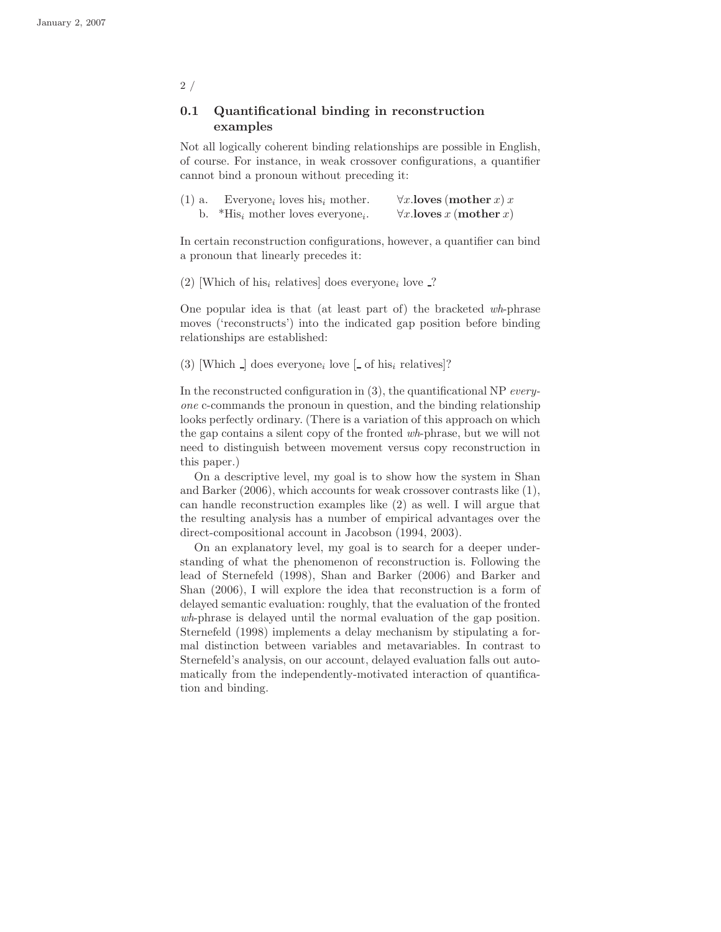### 0.1 Quantificational binding in reconstruction examples

Not all logically coherent binding relationships are possible in English, of course. For instance, in weak crossover configurations, a quantifier cannot bind a pronoun without preceding it:

| $(1)$ a. | Everyone <sub>i</sub> loves his <sub>i</sub> mother.      | $\forall x.$ loves (mother x) x                     |
|----------|-----------------------------------------------------------|-----------------------------------------------------|
|          | b. *His <sub>i</sub> mother loves everyone <sub>i</sub> . | $\forall x.\mathbf{loves}\ x\ (\mathbf{mother}\ x)$ |

In certain reconstruction configurations, however, a quantifier can bind a pronoun that linearly precedes it:

(2) [Which of his<sub>i</sub> relatives] does everyone<sub>i</sub> love  $\Box$ ?

One popular idea is that (at least part of) the bracketed wh-phrase moves ('reconstructs') into the indicated gap position before binding relationships are established:

(3) [Which  $\Box$ ] does everyone<sub>i</sub> love  $\Box$  of his<sub>i</sub> relatives]?

In the reconstructed configuration in (3), the quantificational NP everyone c-commands the pronoun in question, and the binding relationship looks perfectly ordinary. (There is a variation of this approach on which the gap contains a silent copy of the fronted wh-phrase, but we will not need to distinguish between movement versus copy reconstruction in this paper.)

On a descriptive level, my goal is to show how the system in Shan and Barker (2006), which accounts for weak crossover contrasts like (1), can handle reconstruction examples like (2) as well. I will argue that the resulting analysis has a number of empirical advantages over the direct-compositional account in Jacobson (1994, 2003).

On an explanatory level, my goal is to search for a deeper understanding of what the phenomenon of reconstruction is. Following the lead of Sternefeld (1998), Shan and Barker (2006) and Barker and Shan (2006), I will explore the idea that reconstruction is a form of delayed semantic evaluation: roughly, that the evaluation of the fronted wh-phrase is delayed until the normal evaluation of the gap position. Sternefeld (1998) implements a delay mechanism by stipulating a formal distinction between variables and metavariables. In contrast to Sternefeld's analysis, on our account, delayed evaluation falls out automatically from the independently-motivated interaction of quantification and binding.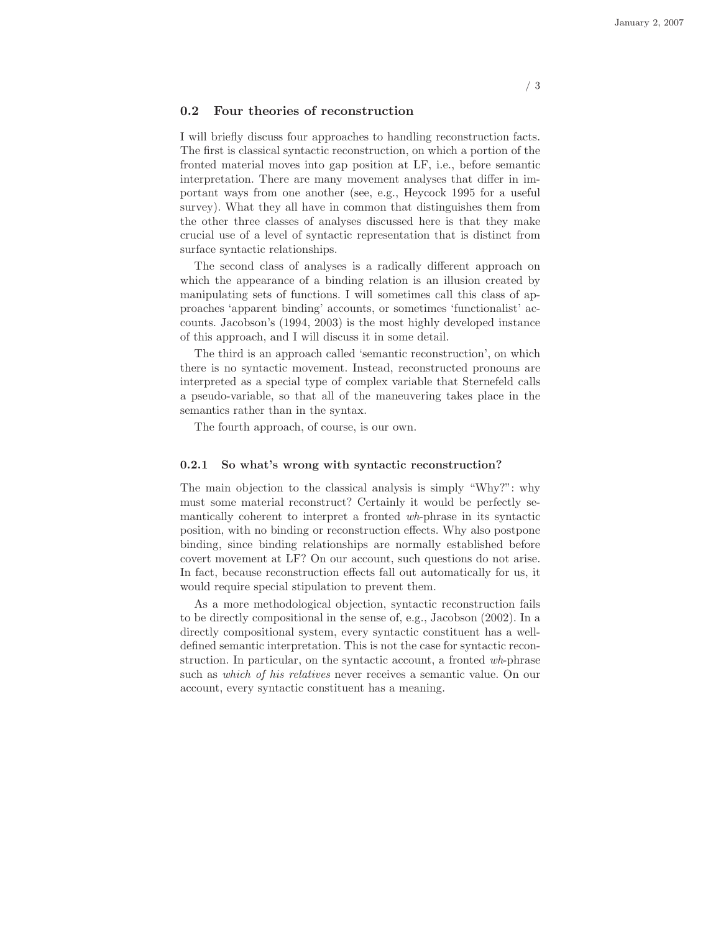#### 0.2 Four theories of reconstruction

I will briefly discuss four approaches to handling reconstruction facts. The first is classical syntactic reconstruction, on which a portion of the fronted material moves into gap position at LF, i.e., before semantic interpretation. There are many movement analyses that differ in important ways from one another (see, e.g., Heycock 1995 for a useful survey). What they all have in common that distinguishes them from the other three classes of analyses discussed here is that they make crucial use of a level of syntactic representation that is distinct from surface syntactic relationships.

The second class of analyses is a radically different approach on which the appearance of a binding relation is an illusion created by manipulating sets of functions. I will sometimes call this class of approaches 'apparent binding' accounts, or sometimes 'functionalist' accounts. Jacobson's (1994, 2003) is the most highly developed instance of this approach, and I will discuss it in some detail.

The third is an approach called 'semantic reconstruction', on which there is no syntactic movement. Instead, reconstructed pronouns are interpreted as a special type of complex variable that Sternefeld calls a pseudo-variable, so that all of the maneuvering takes place in the semantics rather than in the syntax.

The fourth approach, of course, is our own.

#### 0.2.1 So what's wrong with syntactic reconstruction?

The main objection to the classical analysis is simply "Why?": why must some material reconstruct? Certainly it would be perfectly semantically coherent to interpret a fronted wh-phrase in its syntactic position, with no binding or reconstruction effects. Why also postpone binding, since binding relationships are normally established before covert movement at LF? On our account, such questions do not arise. In fact, because reconstruction effects fall out automatically for us, it would require special stipulation to prevent them.

As a more methodological objection, syntactic reconstruction fails to be directly compositional in the sense of, e.g., Jacobson (2002). In a directly compositional system, every syntactic constituent has a welldefined semantic interpretation. This is not the case for syntactic reconstruction. In particular, on the syntactic account, a fronted wh-phrase such as which of his relatives never receives a semantic value. On our account, every syntactic constituent has a meaning.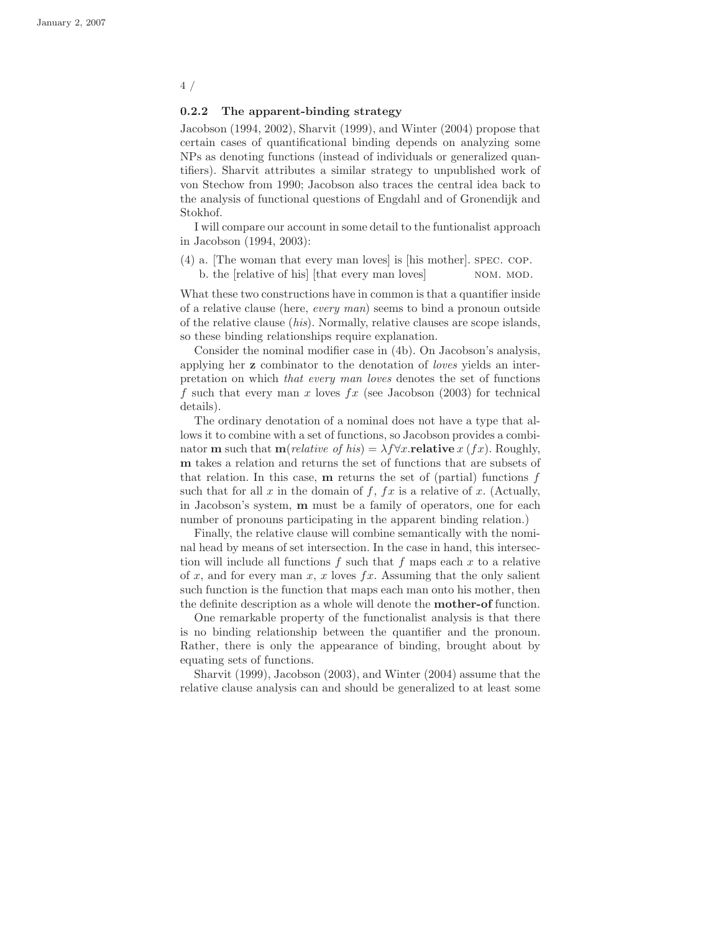#### 0.2.2 The apparent-binding strategy

Jacobson (1994, 2002), Sharvit (1999), and Winter (2004) propose that certain cases of quantificational binding depends on analyzing some NPs as denoting functions (instead of individuals or generalized quantifiers). Sharvit attributes a similar strategy to unpublished work of von Stechow from 1990; Jacobson also traces the central idea back to the analysis of functional questions of Engdahl and of Gronendijk and Stokhof.

I will compare our account in some detail to the funtionalist approach in Jacobson (1994, 2003):

(4) a. [The woman that every man loves] is [his mother]. spec. cop. b. the [relative of his] [that every man loves] NOM. MOD.

What these two constructions have in common is that a quantifier inside of a relative clause (here, every man) seems to bind a pronoun outside of the relative clause (his). Normally, relative clauses are scope islands, so these binding relationships require explanation.

Consider the nominal modifier case in (4b). On Jacobson's analysis, applying her z combinator to the denotation of loves yields an interpretation on which that every man loves denotes the set of functions f such that every man x loves fx (see Jacobson  $(2003)$ ) for technical details).

The ordinary denotation of a nominal does not have a type that allows it to combine with a set of functions, so Jacobson provides a combinator **m** such that **m**(*relative of his*) =  $\lambda f \forall x$ .**relative** x (*fx*). Roughly, m takes a relation and returns the set of functions that are subsets of that relation. In this case,  $\bf{m}$  returns the set of (partial) functions  $f$ such that for all  $x$  in the domain of  $f$ ,  $fx$  is a relative of  $x$ . (Actually, in Jacobson's system, m must be a family of operators, one for each number of pronouns participating in the apparent binding relation.)

Finally, the relative clause will combine semantically with the nominal head by means of set intersection. In the case in hand, this intersection will include all functions  $f$  such that  $f$  maps each  $x$  to a relative of x, and for every man x, x loves  $fx$ . Assuming that the only salient such function is the function that maps each man onto his mother, then the definite description as a whole will denote the mother-of function.

One remarkable property of the functionalist analysis is that there is no binding relationship between the quantifier and the pronoun. Rather, there is only the appearance of binding, brought about by equating sets of functions.

Sharvit (1999), Jacobson (2003), and Winter (2004) assume that the relative clause analysis can and should be generalized to at least some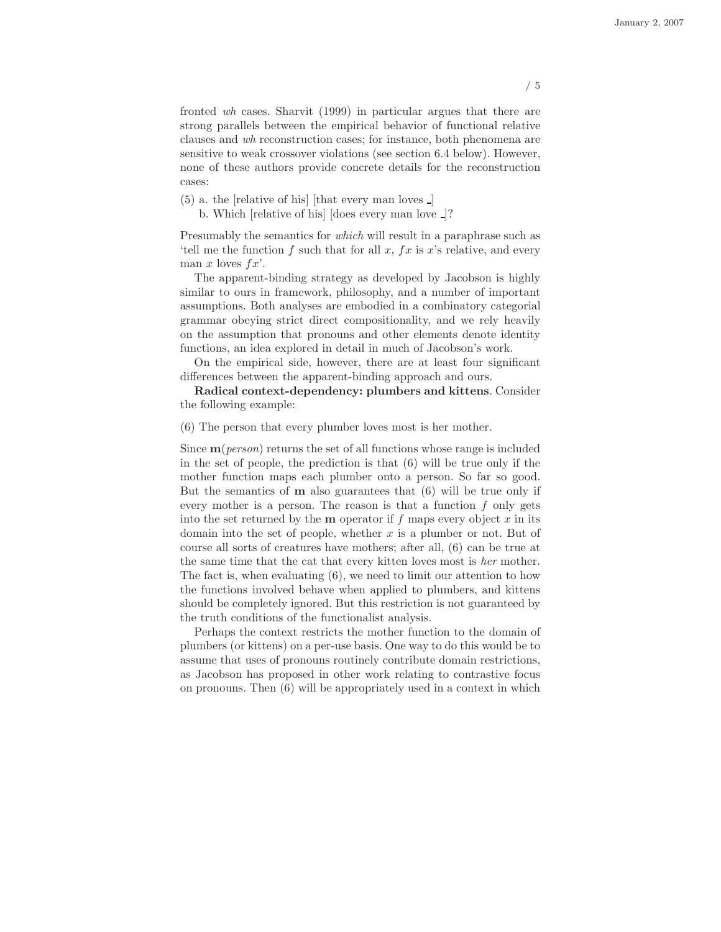fronted wh cases. Sharvit (1999) in particular argues that there are strong parallels between the empirical behavior of functional relative clauses and wh reconstruction cases; for instance, both phenomena are sensitive to weak crossover violations (see section 6.4 below). However, none of these authors provide concrete details for the reconstruction cases:

 $(5)$  a. the [relative of his] [that every man loves  $\Box$ ]

b. Which [relative of his] [does every man love ]?

Presumably the semantics for which will result in a paraphrase such as 'tell me the function f such that for all x,  $fx$  is x's relative, and every man x loves  $fx'$ .

The apparent-binding strategy as developed by Jacobson is highly similar to ours in framework, philosophy, and a number of important assumptions. Both analyses are embodied in a combinatory categorial grammar obeying strict direct compositionality, and we rely heavily on the assumption that pronouns and other elements denote identity functions, an idea explored in detail in much of Jacobson's work.

On the empirical side, however, there are at least four significant differences between the apparent-binding approach and ours.

Radical context-dependency: plumbers and kittens. Consider the following example:

(6) The person that every plumber loves most is her mother.

Since  $\mathbf{m}(person)$  returns the set of all functions whose range is included in the set of people, the prediction is that (6) will be true only if the mother function maps each plumber onto a person. So far so good. But the semantics of  **also guarantees that**  $(6)$  **will be true only if** every mother is a person. The reason is that a function  $f$  only gets into the set returned by the **m** operator if f maps every object x in its domain into the set of people, whether x is a plumber or not. But of course all sorts of creatures have mothers; after all, (6) can be true at the same time that the cat that every kitten loves most is her mother. The fact is, when evaluating (6), we need to limit our attention to how the functions involved behave when applied to plumbers, and kittens should be completely ignored. But this restriction is not guaranteed by the truth conditions of the functionalist analysis.

Perhaps the context restricts the mother function to the domain of plumbers (or kittens) on a per-use basis. One way to do this would be to assume that uses of pronouns routinely contribute domain restrictions, as Jacobson has proposed in other work relating to contrastive focus on pronouns. Then (6) will be appropriately used in a context in which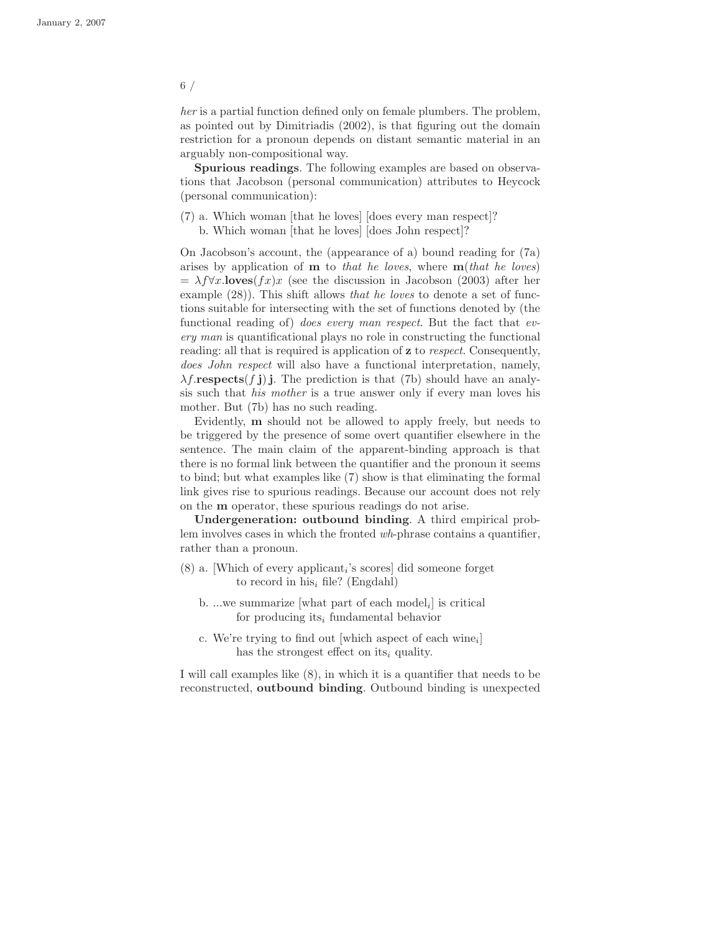her is a partial function defined only on female plumbers. The problem, as pointed out by Dimitriadis (2002), is that figuring out the domain restriction for a pronoun depends on distant semantic material in an arguably non-compositional way.

Spurious readings. The following examples are based on observations that Jacobson (personal communication) attributes to Heycock (personal communication):

(7) a. Which woman [that he loves] [does every man respect]? b. Which woman [that he loves] [does John respect]?

On Jacobson's account, the (appearance of a) bound reading for (7a) arises by application of  **to that he loves, where**  $**m**(that he loves)$  $= \lambda f \forall x.\mathbf{loves}(fx)x$  (see the discussion in Jacobson (2003) after her example  $(28)$ ). This shift allows that he loves to denote a set of functions suitable for intersecting with the set of functions denoted by (the functional reading of) does every man respect. But the fact that every man is quantificational plays no role in constructing the functional reading: all that is required is application of z to respect. Consequently, does John respect will also have a functional interpretation, namely,  $\lambda f$ .respects $(f \mathbf{j})$ . The prediction is that (7b) should have an analysis such that *his mother* is a true answer only if every man loves his mother. But (7b) has no such reading.

Evidently, m should not be allowed to apply freely, but needs to be triggered by the presence of some overt quantifier elsewhere in the sentence. The main claim of the apparent-binding approach is that there is no formal link between the quantifier and the pronoun it seems to bind; but what examples like (7) show is that eliminating the formal link gives rise to spurious readings. Because our account does not rely on the m operator, these spurious readings do not arise.

Undergeneration: outbound binding. A third empirical problem involves cases in which the fronted wh-phrase contains a quantifier, rather than a pronoun.

- $(8)$  a. [Which of every applicant<sub>i</sub>'s scores] did someone forget to record in his<sub>i</sub> file? (Engdahl)
	- b. ...we summarize [what part of each model<sub>i</sub>] is critical for producing its<sub>i</sub> fundamental behavior
	- c. We're trying to find out [which aspect of each wine<sub>i</sub>] has the strongest effect on its<sub>i</sub> quality.

I will call examples like (8), in which it is a quantifier that needs to be reconstructed, outbound binding. Outbound binding is unexpected

#### 6 /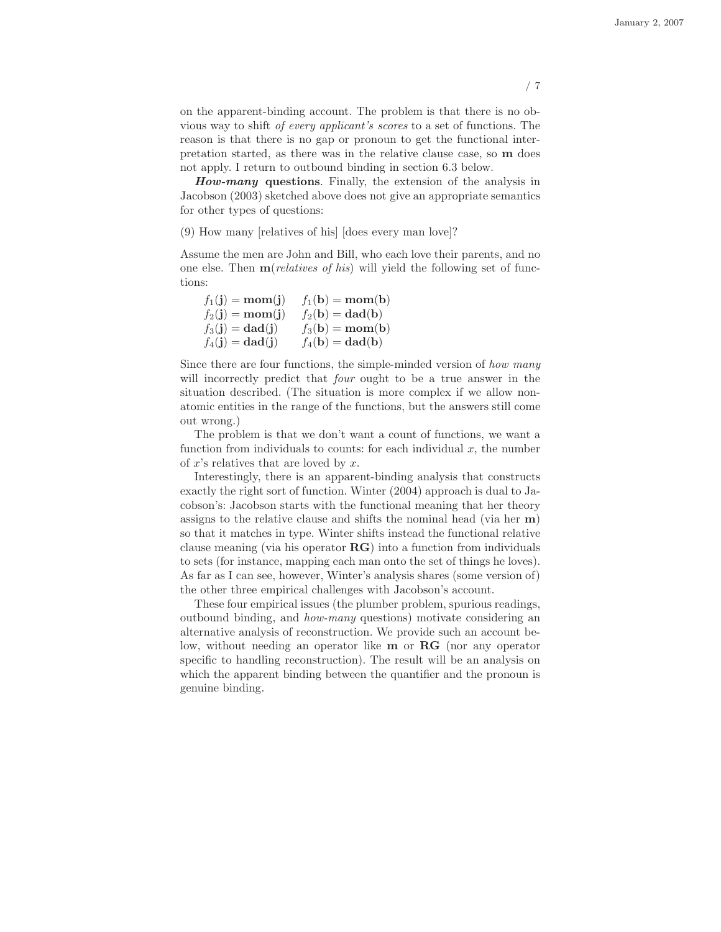on the apparent-binding account. The problem is that there is no obvious way to shift of every applicant's scores to a set of functions. The reason is that there is no gap or pronoun to get the functional interpretation started, as there was in the relative clause case, so m does not apply. I return to outbound binding in section 6.3 below.

How-many questions. Finally, the extension of the analysis in Jacobson (2003) sketched above does not give an appropriate semantics for other types of questions:

(9) How many [relatives of his] [does every man love]?

Assume the men are John and Bill, who each love their parents, and no one else. Then  $\mathbf{m}(relatives \text{ of his})$  will yield the following set of functions:

| $f_1(j) = \mathbf{mom}(j)$ | $f_1(\mathbf{b}) = \mathbf{mom}(\mathbf{b})$ |
|----------------------------|----------------------------------------------|
| $f_2(j) = \text{mom}(j)$   | $f_2(\mathbf{b}) = \mathbf{dad}(\mathbf{b})$ |
| $f_3(j) = \text{dad}(j)$   | $f_3(b) = \text{mom}(b)$                     |
| $f_4(j) = \text{dad}(j)$   | $f_4(\mathbf{b}) = \mathbf{dad}(\mathbf{b})$ |

Since there are four functions, the simple-minded version of *how many* will incorrectly predict that *four* ought to be a true answer in the situation described. (The situation is more complex if we allow nonatomic entities in the range of the functions, but the answers still come out wrong.)

The problem is that we don't want a count of functions, we want a function from individuals to counts: for each individual  $x$ , the number of  $x$ 's relatives that are loved by  $x$ .

Interestingly, there is an apparent-binding analysis that constructs exactly the right sort of function. Winter (2004) approach is dual to Jacobson's: Jacobson starts with the functional meaning that her theory assigns to the relative clause and shifts the nominal head (via her m) so that it matches in type. Winter shifts instead the functional relative clause meaning (via his operator RG) into a function from individuals to sets (for instance, mapping each man onto the set of things he loves). As far as I can see, however, Winter's analysis shares (some version of) the other three empirical challenges with Jacobson's account.

These four empirical issues (the plumber problem, spurious readings, outbound binding, and how-many questions) motivate considering an alternative analysis of reconstruction. We provide such an account below, without needing an operator like **m** or **RG** (nor any operator specific to handling reconstruction). The result will be an analysis on which the apparent binding between the quantifier and the pronoun is genuine binding.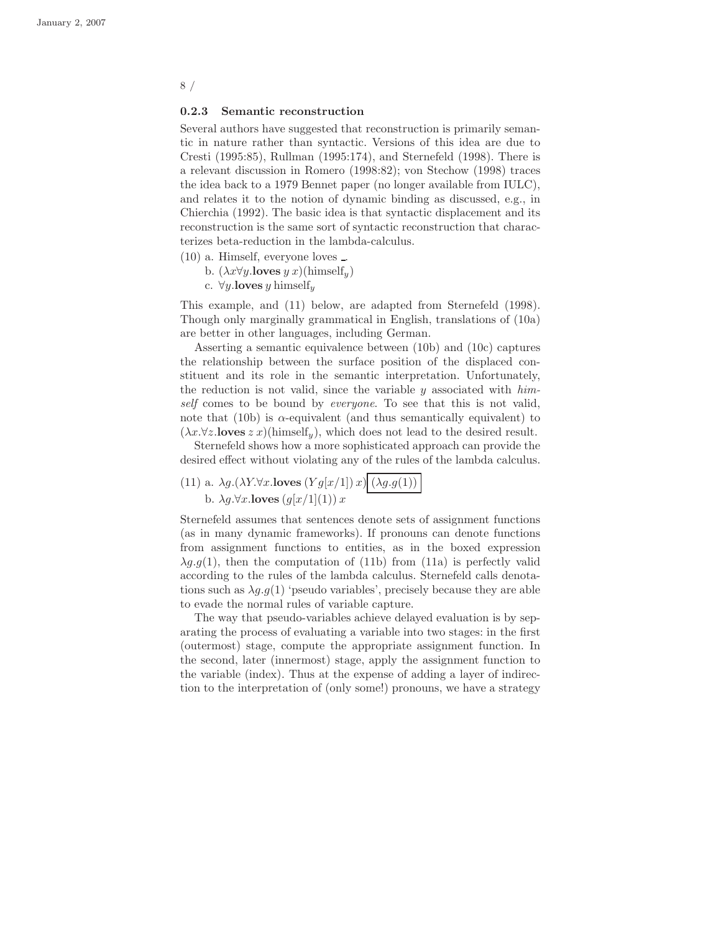#### 0.2.3 Semantic reconstruction

Several authors have suggested that reconstruction is primarily semantic in nature rather than syntactic. Versions of this idea are due to Cresti (1995:85), Rullman (1995:174), and Sternefeld (1998). There is a relevant discussion in Romero (1998:82); von Stechow (1998) traces the idea back to a 1979 Bennet paper (no longer available from IULC), and relates it to the notion of dynamic binding as discussed, e.g., in Chierchia (1992). The basic idea is that syntactic displacement and its reconstruction is the same sort of syntactic reconstruction that characterizes beta-reduction in the lambda-calculus.

- (10) a. Himself, everyone loves .
	- b.  $(\lambda x \forall y.\textbf{loves } y x)(\text{himself}_y)$
	- c.  $\forall y.\textbf{loves } y \text{ himself}_y$

This example, and (11) below, are adapted from Sternefeld (1998). Though only marginally grammatical in English, translations of (10a) are better in other languages, including German.

Asserting a semantic equivalence between (10b) and (10c) captures the relationship between the surface position of the displaced constituent and its role in the semantic interpretation. Unfortunately, the reduction is not valid, since the variable  $y$  associated with himself comes to be bound by *everyone*. To see that this is not valid, note that (10b) is  $\alpha$ -equivalent (and thus semantically equivalent) to  $(\lambda x.\forall z.\mathbf{loves}\ z\ x)(\text{himself}_y),$  which does not lead to the desired result.

Sternefeld shows how a more sophisticated approach can provide the desired effect without violating any of the rules of the lambda calculus.

(11) a.  $\lambda g.(\lambda Y.\forall x.\mathbf{loves}\,(Yg[x/1])\,x)\overline{\big(\lambda g.g(1))\,}$ b.  $\lambda g.\forall x.\mathbf{loves}\left(g[x/1](1)\right)x$ 

Sternefeld assumes that sentences denote sets of assignment functions (as in many dynamic frameworks). If pronouns can denote functions from assignment functions to entities, as in the boxed expression  $\lambda q.q(1)$ , then the computation of (11b) from (11a) is perfectly valid according to the rules of the lambda calculus. Sternefeld calls denotations such as  $\lambda q.g(1)$  'pseudo variables', precisely because they are able to evade the normal rules of variable capture.

The way that pseudo-variables achieve delayed evaluation is by separating the process of evaluating a variable into two stages: in the first (outermost) stage, compute the appropriate assignment function. In the second, later (innermost) stage, apply the assignment function to the variable (index). Thus at the expense of adding a layer of indirection to the interpretation of (only some!) pronouns, we have a strategy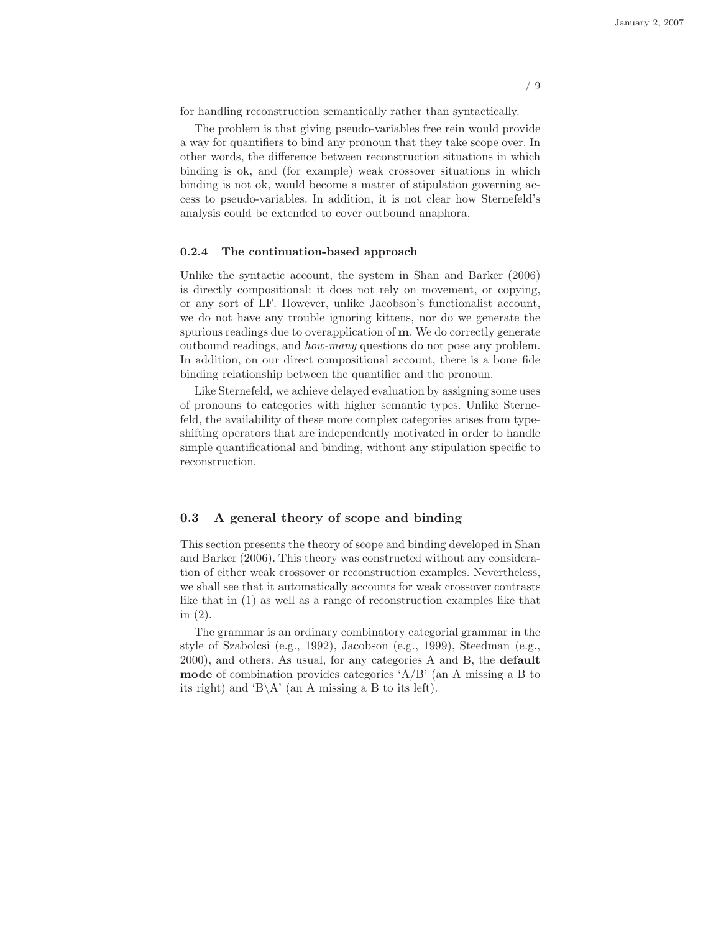for handling reconstruction semantically rather than syntactically.

The problem is that giving pseudo-variables free rein would provide a way for quantifiers to bind any pronoun that they take scope over. In other words, the difference between reconstruction situations in which binding is ok, and (for example) weak crossover situations in which binding is not ok, would become a matter of stipulation governing access to pseudo-variables. In addition, it is not clear how Sternefeld's analysis could be extended to cover outbound anaphora.

#### 0.2.4 The continuation-based approach

Unlike the syntactic account, the system in Shan and Barker (2006) is directly compositional: it does not rely on movement, or copying, or any sort of LF. However, unlike Jacobson's functionalist account, we do not have any trouble ignoring kittens, nor do we generate the spurious readings due to overapplication of m. We do correctly generate outbound readings, and how-many questions do not pose any problem. In addition, on our direct compositional account, there is a bone fide binding relationship between the quantifier and the pronoun.

Like Sternefeld, we achieve delayed evaluation by assigning some uses of pronouns to categories with higher semantic types. Unlike Sternefeld, the availability of these more complex categories arises from typeshifting operators that are independently motivated in order to handle simple quantificational and binding, without any stipulation specific to reconstruction.

#### 0.3 A general theory of scope and binding

This section presents the theory of scope and binding developed in Shan and Barker (2006). This theory was constructed without any consideration of either weak crossover or reconstruction examples. Nevertheless, we shall see that it automatically accounts for weak crossover contrasts like that in (1) as well as a range of reconstruction examples like that in (2).

The grammar is an ordinary combinatory categorial grammar in the style of Szabolcsi (e.g., 1992), Jacobson (e.g., 1999), Steedman (e.g., 2000), and others. As usual, for any categories A and B, the default mode of combination provides categories 'A/B' (an A missing a B to its right) and 'B\A' (an A missing a B to its left).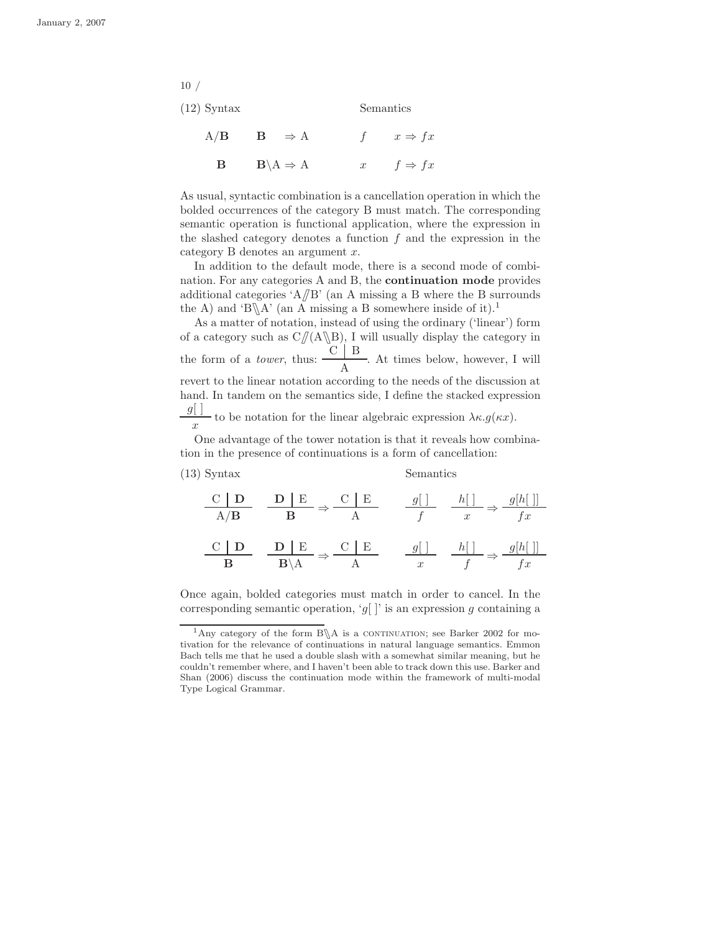(12) Syntax Semantics

| $A/B$ $B \Rightarrow A$                | f $x \Rightarrow fx$ |
|----------------------------------------|----------------------|
| <b>B</b> $B \setminus A \Rightarrow A$ | x $f \Rightarrow fx$ |

As usual, syntactic combination is a cancellation operation in which the bolded occurrences of the category B must match. The corresponding semantic operation is functional application, where the expression in the slashed category denotes a function  $f$  and the expression in the category  $B$  denotes an argument  $x$ .

In addition to the default mode, there is a second mode of combination. For any categories A and B, the continuation mode provides additional categories 'A $\beta$ B' (an A missing a B where the B surrounds the A) and 'B $\A$ ' (an A missing a B somewhere inside of it).<sup>1</sup>

As a matter of notation, instead of using the ordinary ('linear') form of a category such as  $C/(A\setminus B)$ , I will usually display the category in the form of a *tower*, thus:  $\frac{\text{C} \parallel \text{B}}{4}$ A . At times below, however, I will revert to the linear notation according to the needs of the discussion at hand. In tandem on the semantics side, I define the stacked expression  $g[$  $\boldsymbol{x}$ - to be notation for the linear algebraic expression  $\lambda \kappa. g(\kappa x)$ .

One advantage of the tower notation is that it reveals how combination in the presence of continuations is a form of cancellation:

(13) Syntax Semantics

| $C$   D<br>A/B | $\frac{D   E}{\longrightarrow} \frac{C   E}{\longrightarrow}$<br>$\overline{B}$ | $g[\ ] \qquad h[\ ] \qquad g[h[\ ]]$                         | $\overline{x}$                               | $f_x$ |
|----------------|---------------------------------------------------------------------------------|--------------------------------------------------------------|----------------------------------------------|-------|
| $\overline{B}$ | $C$ $D$ $D$ $E$ $C$ $E$<br>$\overline{\mathbf{B}\backslash\mathrm{A}}$ -        | A $\overline{x}$ $\overline{f}$ $\Rightarrow$ $\overline{f}$ | $g[$ $h[$ $\rightarrow$ $g[h[$ $\rightarrow$ |       |

Once again, bolded categories must match in order to cancel. In the corresponding semantic operation, 'g[]' is an expression g containing a

<sup>&</sup>lt;sup>1</sup>Any category of the form  $B\$ A is a CONTINUATION; see Barker 2002 for motivation for the relevance of continuations in natural language semantics. Emmon Bach tells me that he used a double slash with a somewhat similar meaning, but he couldn't remember where, and I haven't been able to track down this use. Barker and Shan (2006) discuss the continuation mode within the framework of multi-modal Type Logical Grammar.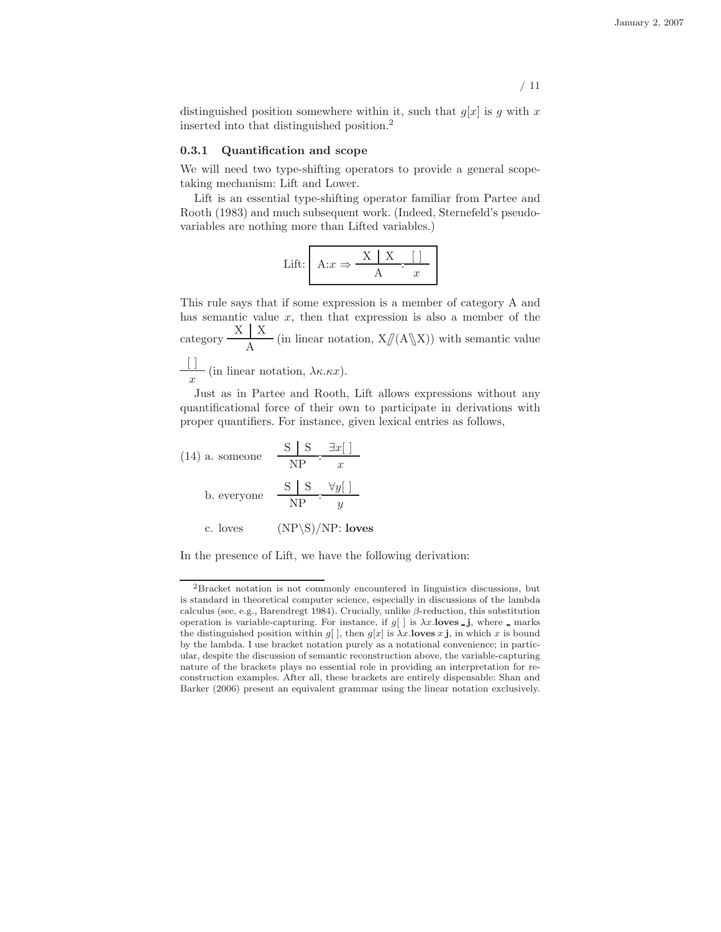distinguished position somewhere within it, such that  $g[x]$  is g with x inserted into that distinguished position.<sup>2</sup>

#### 0.3.1 Quantification and scope

We will need two type-shifting operators to provide a general scopetaking mechanism: Lift and Lower.

Lift is an essential type-shifting operator familiar from Partee and Rooth (1983) and much subsequent work. (Indeed, Sternefeld's pseudovariables are nothing more than Lifted variables.)

$$
Lift: \begin{array}{|c|c|c|c|}\n\hline\nA:x & \Rightarrow & \xrightarrow{X & X & \dots & \boxed{)} \\
\hline\nA & x & \dots & x & \dots & x\n\end{array}
$$

This rule says that if some expression is a member of category A and has semantic value  $x$ , then that expression is also a member of the category  $\frac{X \mid X}{\lambda}$  $\frac{1}{A}$  (in linear notation,  $X/(A\mathbb{X})$ ) with semantic value  $[ \ ]$  $\frac{1}{x}$  (in linear notation,  $\lambda \kappa \kappa x$ ).

Just as in Partee and Rooth, Lift allows expressions without any quantificational force of their own to participate in derivations with proper quantifiers. For instance, given lexical entries as follows,

(14) a. someone 
$$
\frac{S | S}{NP} : \frac{\exists x[]}{x}
$$
  
b. everyone 
$$
\frac{S | S}{NP} : \frac{\forall y[]}{y}
$$
  
c. loves 
$$
(NP \setminus S)/NP: \text{loves}
$$

In the presence of Lift, we have the following derivation:

<sup>2</sup>Bracket notation is not commonly encountered in linguistics discussions, but is standard in theoretical computer science, especially in discussions of the lambda calculus (see, e.g., Barendregt 1984). Crucially, unlike  $\beta$ -reduction, this substitution operation is variable-capturing. For instance, if  $g[$  ] is  $\lambda x$ .**loves \_j**, where \_ marks the distinguished position within g[], then g[x] is  $\lambda x$ . loves x j, in which x is bound by the lambda. I use bracket notation purely as a notational convenience; in particular, despite the discussion of semantic reconstruction above, the variable-capturing nature of the brackets plays no essential role in providing an interpretation for reconstruction examples. After all, these brackets are entirely dispensable: Shan and Barker (2006) present an equivalent grammar using the linear notation exclusively.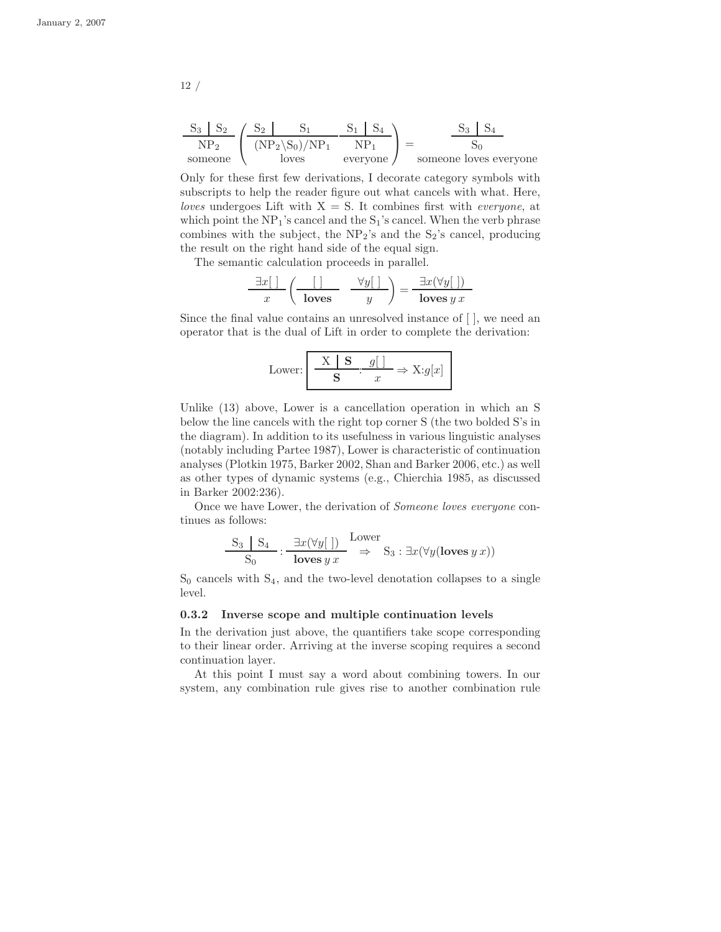$$
\frac{S_3 \mid S_2}{NP_2} \left( \frac{S_2 \mid S_1}{(NP_2 \setminus S_0)/NP_1} \frac{S_1 \mid S_4}{NP_1} \right) = \frac{S_3 \mid S_4}{S_0}
$$
someone loves everyone

Only for these first few derivations, I decorate category symbols with subscripts to help the reader figure out what cancels with what. Here, loves undergoes Lift with  $X = S$ . It combines first with *everyone*, at which point the  $NP_1$ 's cancel and the  $S_1$ 's cancel. When the verb phrase combines with the subject, the  $NP<sub>2</sub>$ 's and the  $S<sub>2</sub>$ 's cancel, producing the result on the right hand side of the equal sign.

The semantic calculation proceeds in parallel.

$$
\frac{\exists x[\ ]}{x}\left(\begin{array}{c|c} | & \forall y[ \ ] \\\hline \text{loves} & y \end{array}\right) = \frac{\exists x(\forall y[\ ])}{\text{loves }y\ x}
$$

Since the final value contains an unresolved instance of [ ], we need an operator that is the dual of Lift in order to complete the derivation:

Lower: 
$$
\frac{\mathbf{X} \mid \mathbf{S}}{\mathbf{S}} \cdot \frac{g[ ]}{x} \Rightarrow \mathbf{X}:g[x]
$$

Unlike (13) above, Lower is a cancellation operation in which an S below the line cancels with the right top corner S (the two bolded S's in the diagram). In addition to its usefulness in various linguistic analyses (notably including Partee 1987), Lower is characteristic of continuation analyses (Plotkin 1975, Barker 2002, Shan and Barker 2006, etc.) as well as other types of dynamic systems (e.g., Chierchia 1985, as discussed in Barker 2002:236).

Once we have Lower, the derivation of Someone loves everyone continues as follows:

$$
\frac{S_3 \mid S_4}{S_0} : \frac{\exists x (\forall y [\ ])}{\text{loves } y \ x} \xrightarrow{\text{Lower}} S_3 : \exists x (\forall y (\text{loves } y \ x))
$$

 $S_0$  cancels with  $S_4$ , and the two-level denotation collapses to a single level.

#### 0.3.2 Inverse scope and multiple continuation levels

In the derivation just above, the quantifiers take scope corresponding to their linear order. Arriving at the inverse scoping requires a second continuation layer.

At this point I must say a word about combining towers. In our system, any combination rule gives rise to another combination rule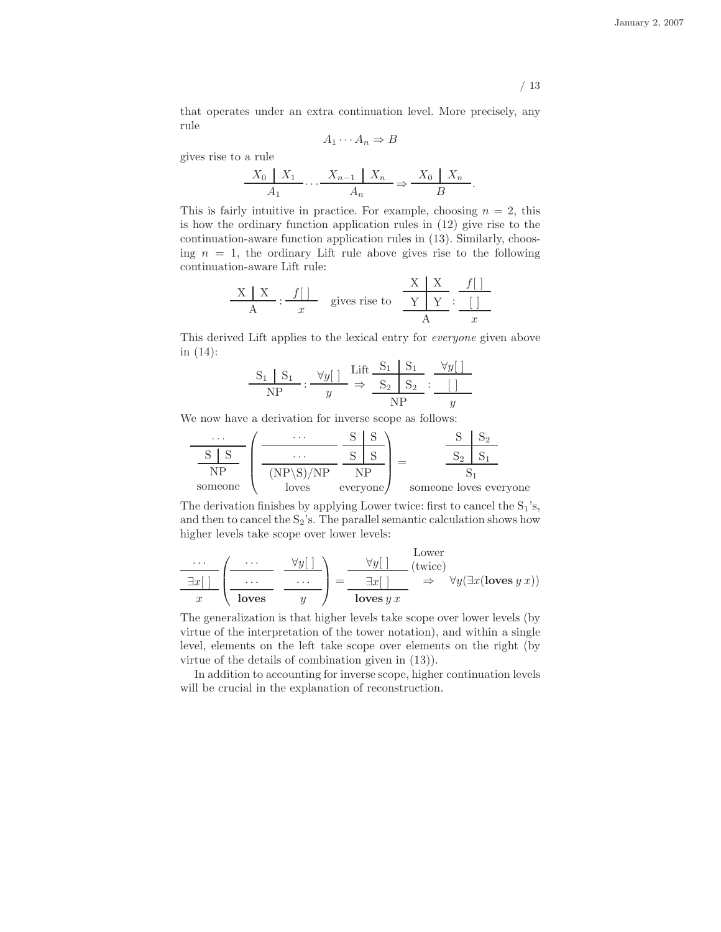that operates under an extra continuation level. More precisely, any rule

$$
A_1 \cdots A_n \Rightarrow B
$$

gives rise to a rule

j.

$$
\frac{X_0 \mid X_1}{A_1} \cdots \frac{X_{n-1} \mid X_n}{A_n} \Rightarrow \frac{X_0 \mid X_n}{B}.
$$

This is fairly intuitive in practice. For example, choosing  $n = 2$ , this is how the ordinary function application rules in (12) give rise to the continuation-aware function application rules in (13). Similarly, choosing  $n = 1$ , the ordinary Lift rule above gives rise to the following continuation-aware Lift rule:

$$
\frac{\mathbf{X} \mid \mathbf{X}}{\mathbf{A}} : \frac{f[]}{x} \quad \text{gives rise to} \quad \frac{\mathbf{X} \mid \mathbf{X}}{\mathbf{Y} \mid \mathbf{Y}} : \frac{f[]}{x}
$$

This derived Lift applies to the lexical entry for everyone given above in (14):

$$
\frac{S_1 | S_1}{NP} : \frac{\forall y[ ]}{y} \Rightarrow \frac{Lift}{S_2 | S_2} : \frac{\forall y[ ]}{[]}
$$

We now have a derivation for inverse scope as follows:

$$
\frac{S}{NP} \left( \frac{\dots}{NP \left( NP \setminus S \right) / NP} \cdot \frac{S}{S} \cdot \frac{S}{S} \right) = \frac{S}{S_2 \left( S_1 \right)} \cdot \frac{S}{S_1}
$$
\nsome one loves everyone

\nsomeone loves everyone

The derivation finishes by applying Lower twice: first to cancel the  $S_1$ 's, and then to cancel the  $S_2$ 's. The parallel semantic calculation shows how higher levels take scope over lower levels:

$$
\frac{\cdots}{\exists x \, 1} \left( \frac{\cdots}{\text{loves}} \frac{\forall y \, 1}{\cdots} \right) = \frac{\forall y \, 1 \quad \text{lower} \quad \text{(twice)}}{\exists x \, 1} \Rightarrow \forall y \, (\exists x (\text{loves } y \, x))
$$

The generalization is that higher levels take scope over lower levels (by virtue of the interpretation of the tower notation), and within a single level, elements on the left take scope over elements on the right (by virtue of the details of combination given in (13)).

In addition to accounting for inverse scope, higher continuation levels will be crucial in the explanation of reconstruction.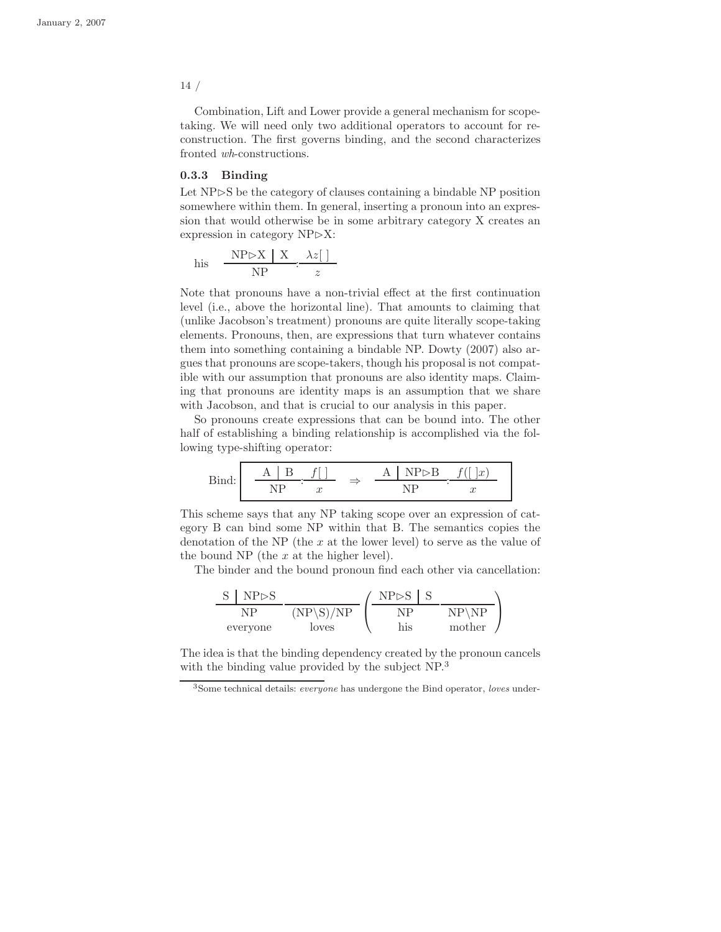Combination, Lift and Lower provide a general mechanism for scopetaking. We will need only two additional operators to account for reconstruction. The first governs binding, and the second characterizes fronted wh-constructions.

#### 0.3.3 Binding

Let NP⊳S be the category of clauses containing a bindable NP position somewhere within them. In general, inserting a pronoun into an expression that would otherwise be in some arbitrary category X creates an expression in category  $NP\triangleright X$ :

$$
\text{his} \quad \frac{\text{NP} \triangleright \text{X} \mid \text{X} \quad \lambda z[ \ ]}{\text{NP} \quad \therefore \quad z}
$$

Note that pronouns have a non-trivial effect at the first continuation level (i.e., above the horizontal line). That amounts to claiming that (unlike Jacobson's treatment) pronouns are quite literally scope-taking elements. Pronouns, then, are expressions that turn whatever contains them into something containing a bindable NP. Dowty (2007) also argues that pronouns are scope-takers, though his proposal is not compatible with our assumption that pronouns are also identity maps. Claiming that pronouns are identity maps is an assumption that we share with Jacobson, and that is crucial to our analysis in this paper.

So pronouns create expressions that can be bound into. The other half of establishing a binding relationship is accomplished via the following type-shifting operator:

| Ri | $\overline{1}$ |  | $x^{\prime}$ |
|----|----------------|--|--------------|
|    | u              |  | u            |

This scheme says that any NP taking scope over an expression of category B can bind some NP within that B. The semantics copies the denotation of the NP (the  $x$  at the lower level) to serve as the value of the bound NP (the  $x$  at the higher level).

The binder and the bound pronoun find each other via cancellation:

$$
\frac{\text{S} \mid \text{NP}\rhd\text{S}}{\text{NP} \mid \text{NP} \setminus \text{S} / \text{NP}} \left(\frac{\text{NP}\rhd\text{S} \mid \text{S}}{\text{NP} \mid \text{NP} \mid \text{NP} \setminus \text{NP}}\right)
$$

The idea is that the binding dependency created by the pronoun cancels with the binding value provided by the subject NP.<sup>3</sup>

<sup>3</sup>Some technical details: everyone has undergone the Bind operator, loves under-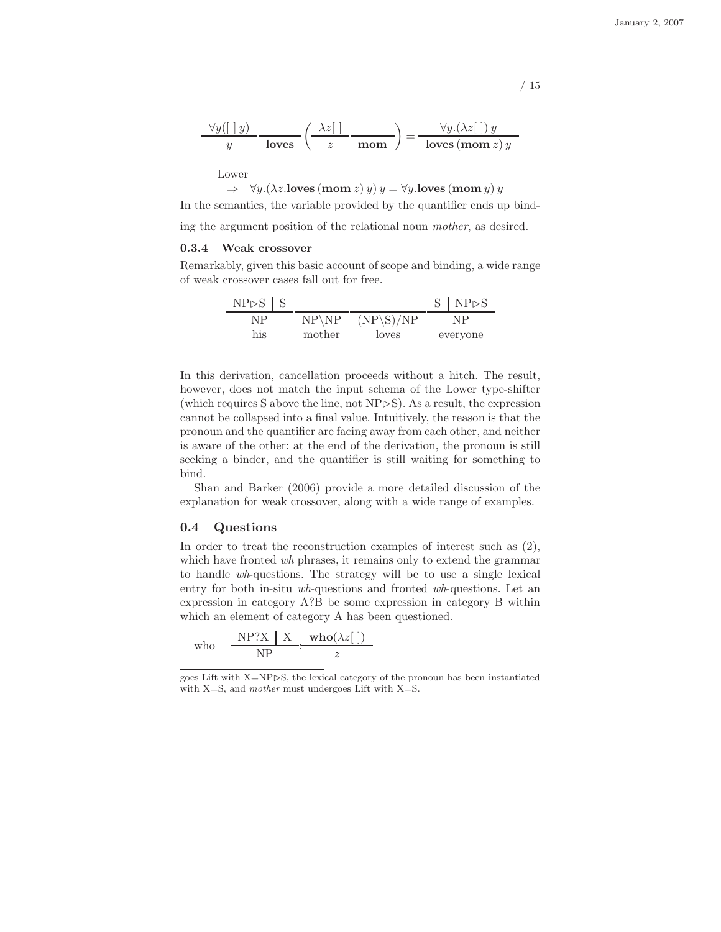$$
\frac{\forall y ([\;] \, y)}{y} \cdot \frac{\lambda z [\;] }{\text{loves}} \left( \frac{\lambda z [\;] }{z} \cdot \frac{\lambda z [\;] }{\text{mom}} \right) = \frac{\forall y.(\lambda z [\;] ) \, y}{\text{loves} (\text{mom } z) \, y}
$$

Lower

$$
\Rightarrow \forall y. (\lambda z. \text{loves (mom } z) y) y = \forall y. \text{loves (mom } y) y
$$

In the semantics, the variable provided by the quantifier ends up bind-

ing the argument position of the relational noun mother, as desired.

#### 0.3.4 Weak crossover

Remarkably, given this basic account of scope and binding, a wide range of weak crossover cases fall out for free.

| $NP \triangleright S$ $S$ |         |             | S   NP > S |
|---------------------------|---------|-------------|------------|
| NP                        | $NP\NP$ | $(NP\S)/NP$ | NP         |
| his                       | mother  | loves       | everyone   |

In this derivation, cancellation proceeds without a hitch. The result, however, does not match the input schema of the Lower type-shifter (which requires S above the line, not  $NP \triangleright S$ ). As a result, the expression cannot be collapsed into a final value. Intuitively, the reason is that the pronoun and the quantifier are facing away from each other, and neither is aware of the other: at the end of the derivation, the pronoun is still seeking a binder, and the quantifier is still waiting for something to bind.

Shan and Barker (2006) provide a more detailed discussion of the explanation for weak crossover, along with a wide range of examples.

#### 0.4 Questions

In order to treat the reconstruction examples of interest such as  $(2)$ , which have fronted wh phrases, it remains only to extend the grammar to handle wh-questions. The strategy will be to use a single lexical entry for both in-situ wh-questions and fronted wh-questions. Let an expression in category A?B be some expression in category B within which an element of category A has been questioned.

$$
\text{who} \quad \frac{\text{NP?X} \mid \text{X}}{\text{NP}} \cdot \frac{\text{who}(\lambda z[\ ])}{z}
$$

goes Lift with  $X=NP\triangleright S$ , the lexical category of the pronoun has been instantiated with  $X=S$ , and mother must undergoes Lift with  $X=S$ .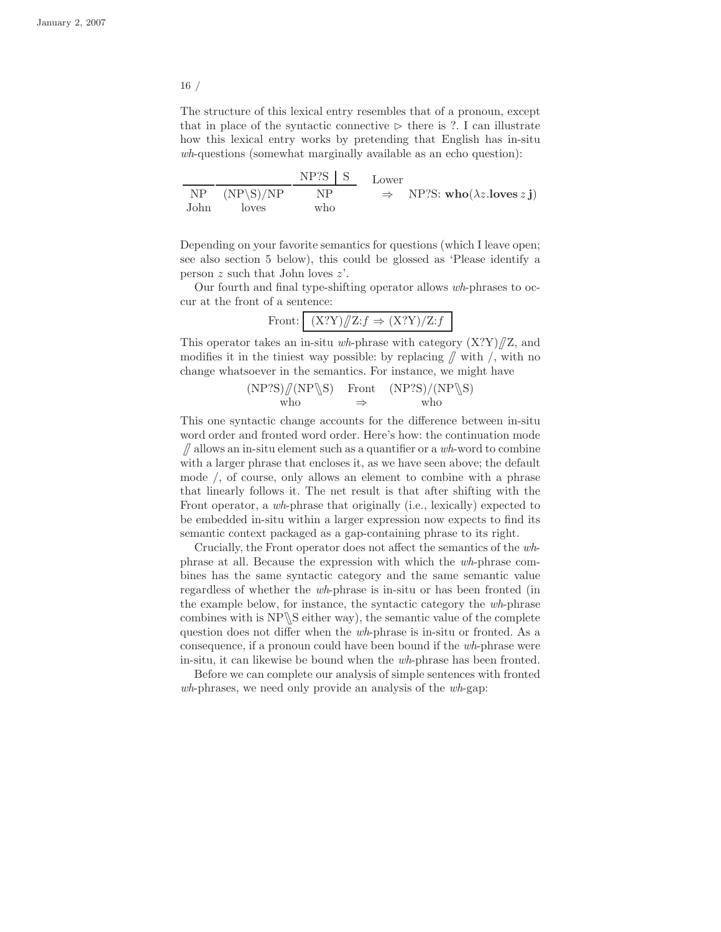The structure of this lexical entry resembles that of a pronoun, except that in place of the syntactic connective  $\triangleright$  there is ?. I can illustrate how this lexical entry works by pretending that English has in-situ wh-questions (somewhat marginally available as an echo question):

NP John  $(NP\S)/NP$ loves  $NP?S$ NP who Lower  $\Rightarrow$  NP?S: who( $\lambda z$ .loves z j)

Depending on your favorite semantics for questions (which I leave open; see also section 5 below), this could be glossed as 'Please identify a person  $z$  such that John loves  $z'$ .

Our fourth and final type-shifting operator allows wh-phrases to occur at the front of a sentence:

$$
Front: \quad (X?Y)/\mathbb{Z}: f \Rightarrow (X?Y)/Z: f
$$

This operator takes an in-situ wh-phrase with category  $(X?Y)/Z$ , and modifies it in the tiniest way possible: by replacing  $\int$  with  $\prime$ , with no change whatsoever in the semantics. For instance, we might have

> $(NP'S)/ (NP \$ S) Front  $(NP'S)/ (NP \$ S) who ⇒ who

This one syntactic change accounts for the difference between in-situ word order and fronted word order. Here's how: the continuation mode  $\int$  allows an in-situ element such as a quantifier or a wh-word to combine with a larger phrase that encloses it, as we have seen above; the default mode /, of course, only allows an element to combine with a phrase that linearly follows it. The net result is that after shifting with the Front operator, a wh-phrase that originally (i.e., lexically) expected to be embedded in-situ within a larger expression now expects to find its semantic context packaged as a gap-containing phrase to its right.

Crucially, the Front operator does not affect the semantics of the whphrase at all. Because the expression with which the wh-phrase combines has the same syntactic category and the same semantic value regardless of whether the wh-phrase is in-situ or has been fronted (in the example below, for instance, the syntactic category the wh-phrase combines with is  $NP \ S$  either way), the semantic value of the complete question does not differ when the wh-phrase is in-situ or fronted. As a consequence, if a pronoun could have been bound if the wh-phrase were in-situ, it can likewise be bound when the wh-phrase has been fronted.

Before we can complete our analysis of simple sentences with fronted wh-phrases, we need only provide an analysis of the wh-gap: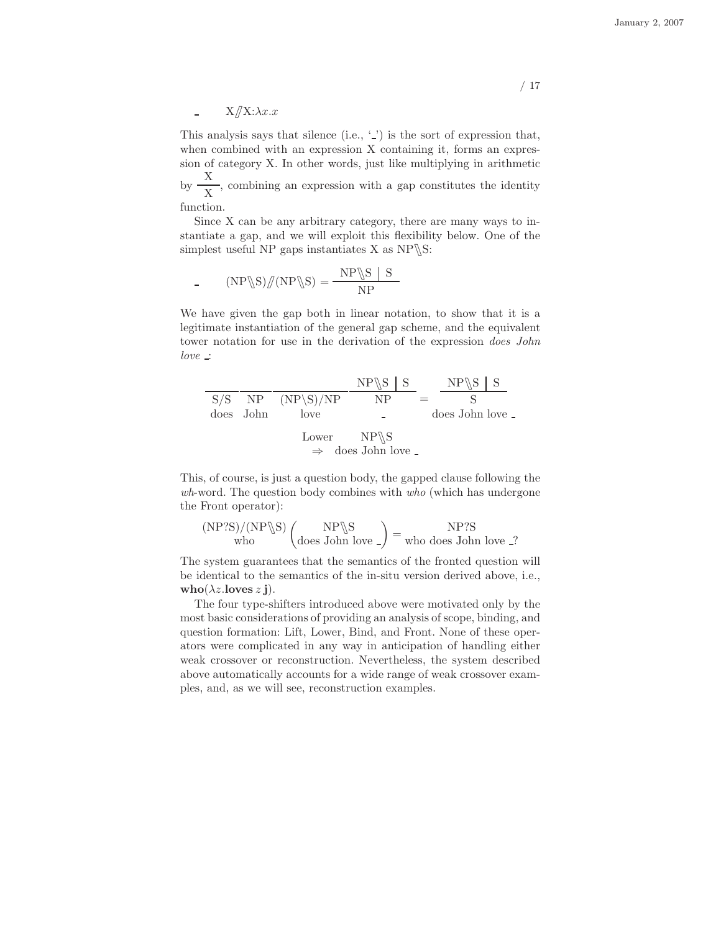January 2, 2007

 $X/\!\!/ X:\lambda x.x$ 

This analysis says that silence (i.e.,  $\langle \cdot \rangle$ ) is the sort of expression that, when combined with an expression X containing it, forms an expression of category X. In other words, just like multiplying in arithmetic by  $\frac{X}{X}$ 

 $\frac{1}{X}$ , combining an expression with a gap constitutes the identity function.

Since X can be any arbitrary category, there are many ways to instantiate a gap, and we will exploit this flexibility below. One of the simplest useful NP gaps instantiates  $X$  as  $NP \S$ :

$$
(NP \S) / \text{(NP} \S) = \frac{NP \S | S}{NP}
$$

We have given the gap both in linear notation, to show that it is a legitimate instantiation of the general gap scheme, and the equivalent tower notation for use in the derivation of the expression *does John*  $love \nightharpoonup$ 

|           |                        | $NP \$ $S$ $S$   | $NP\$ S S      |  |
|-----------|------------------------|------------------|----------------|--|
|           | $S/S$ NP $(NP\ S)/NP$  | NP               |                |  |
| does John | love                   |                  | does John love |  |
|           | Lower $NP \setminus S$ |                  |                |  |
|           | $\Rightarrow$          | does John love _ |                |  |

This, of course, is just a question body, the gapped clause following the wh-word. The question body combines with who (which has undergone the Front operator):

$$
\frac{\text{(NP?S)}/\text{(NP\S S)}}{\text{who}} \left( \frac{\text{NP\S}}{\text{does John love}} \right) = \frac{\text{NP?S}}{\text{who does John love}}.
$$

The system guarantees that the semantics of the fronted question will be identical to the semantics of the in-situ version derived above, i.e., who( $\lambda z$ .loves  $z$ **j**).

The four type-shifters introduced above were motivated only by the most basic considerations of providing an analysis of scope, binding, and question formation: Lift, Lower, Bind, and Front. None of these operators were complicated in any way in anticipation of handling either weak crossover or reconstruction. Nevertheless, the system described above automatically accounts for a wide range of weak crossover examples, and, as we will see, reconstruction examples.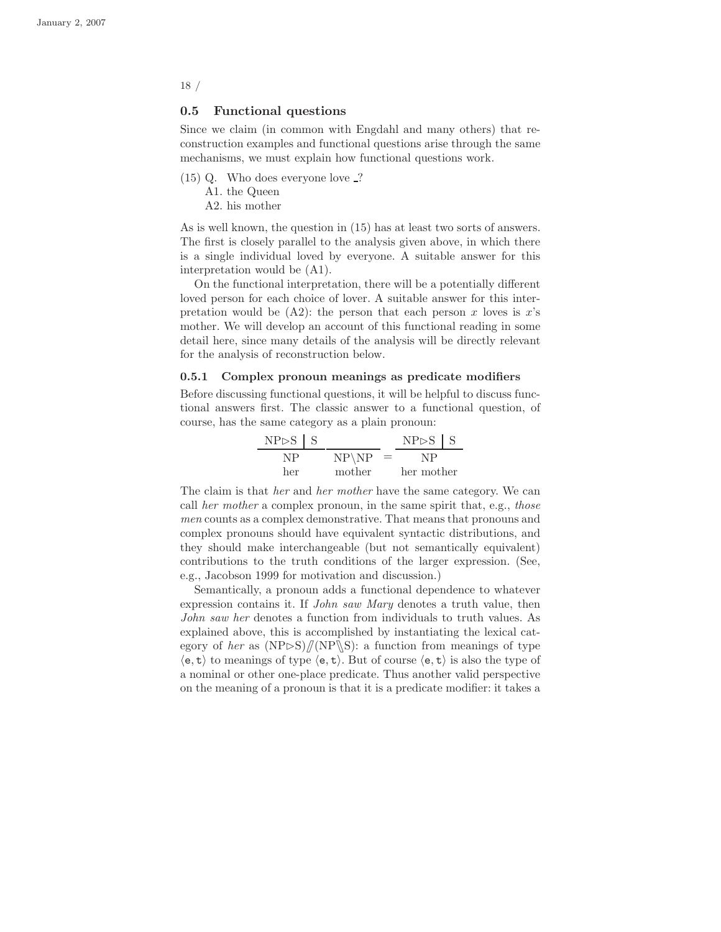#### 0.5 Functional questions

Since we claim (in common with Engdahl and many others) that reconstruction examples and functional questions arise through the same mechanisms, we must explain how functional questions work.

- (15) Q. Who does everyone love ?
	- A1. the Queen
	- A2. his mother

As is well known, the question in (15) has at least two sorts of answers. The first is closely parallel to the analysis given above, in which there is a single individual loved by everyone. A suitable answer for this interpretation would be (A1).

On the functional interpretation, there will be a potentially different loved person for each choice of lover. A suitable answer for this interpretation would be  $(A2)$ : the person that each person x loves is x's mother. We will develop an account of this functional reading in some detail here, since many details of the analysis will be directly relevant for the analysis of reconstruction below.

#### 0.5.1 Complex pronoun meanings as predicate modifiers

Before discussing functional questions, it will be helpful to discuss functional answers first. The classic answer to a functional question, of course, has the same category as a plain pronoun:

| $NP \triangleright S$ $S$ |                   |     | $NP \triangleright S$ $S$ |  |
|---------------------------|-------------------|-----|---------------------------|--|
|                           | $NP\backslash NP$ | $=$ |                           |  |
| her                       | mother            |     | her mother                |  |

The claim is that *her* and *her mother* have the same category. We can call her mother a complex pronoun, in the same spirit that, e.g., those men counts as a complex demonstrative. That means that pronouns and complex pronouns should have equivalent syntactic distributions, and they should make interchangeable (but not semantically equivalent) contributions to the truth conditions of the larger expression. (See, e.g., Jacobson 1999 for motivation and discussion.)

Semantically, a pronoun adds a functional dependence to whatever expression contains it. If *John saw Mary* denotes a truth value, then John saw her denotes a function from individuals to truth values. As explained above, this is accomplished by instantiating the lexical category of her as  $(NP\triangleright S)//(NP\S)$ : a function from meanings of type  $\langle e, t \rangle$  to meanings of type  $\langle e, t \rangle$ . But of course  $\langle e, t \rangle$  is also the type of a nominal or other one-place predicate. Thus another valid perspective on the meaning of a pronoun is that it is a predicate modifier: it takes a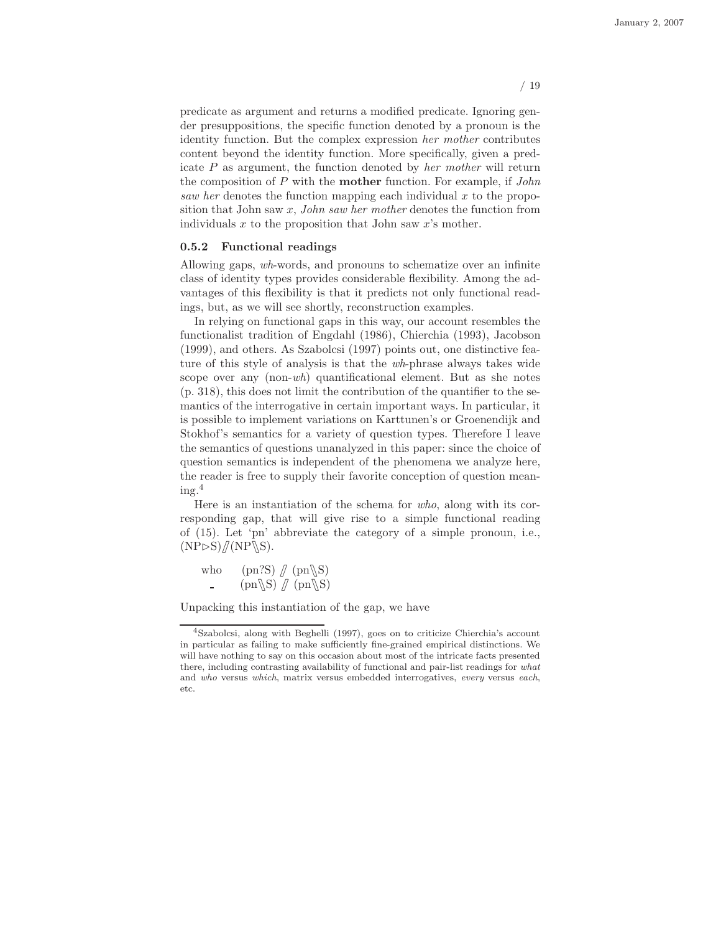predicate as argument and returns a modified predicate. Ignoring gender presuppositions, the specific function denoted by a pronoun is the identity function. But the complex expression her mother contributes content beyond the identity function. More specifically, given a predicate  $P$  as argument, the function denoted by *her mother* will return the composition of  $P$  with the **mother** function. For example, if  $John$ saw her denotes the function mapping each individual  $x$  to the proposition that John saw  $x$ , John saw her mother denotes the function from individuals  $x$  to the proposition that John saw  $x$ 's mother.

#### 0.5.2 Functional readings

Allowing gaps, wh-words, and pronouns to schematize over an infinite class of identity types provides considerable flexibility. Among the advantages of this flexibility is that it predicts not only functional readings, but, as we will see shortly, reconstruction examples.

In relying on functional gaps in this way, our account resembles the functionalist tradition of Engdahl (1986), Chierchia (1993), Jacobson (1999), and others. As Szabolcsi (1997) points out, one distinctive feature of this style of analysis is that the wh-phrase always takes wide scope over any (non-wh) quantificational element. But as she notes (p. 318), this does not limit the contribution of the quantifier to the semantics of the interrogative in certain important ways. In particular, it is possible to implement variations on Karttunen's or Groenendijk and Stokhof's semantics for a variety of question types. Therefore I leave the semantics of questions unanalyzed in this paper: since the choice of question semantics is independent of the phenomena we analyze here, the reader is free to supply their favorite conception of question mean $ing.<sup>4</sup>$ 

Here is an instantiation of the schema for who, along with its corresponding gap, that will give rise to a simple functional reading of (15). Let 'pn' abbreviate the category of a simple pronoun, i.e.,  $(NP\rhd S)//(NP\$ S).

who (pn?S)  $\pi$  (pn\S)  $(pn\&S)$  /  $(pn\&S)$ 

Unpacking this instantiation of the gap, we have

<sup>4</sup>Szabolcsi, along with Beghelli (1997), goes on to criticize Chierchia's account in particular as failing to make sufficiently fine-grained empirical distinctions. We will have nothing to say on this occasion about most of the intricate facts presented there, including contrasting availability of functional and pair-list readings for what and who versus which, matrix versus embedded interrogatives, every versus each, etc.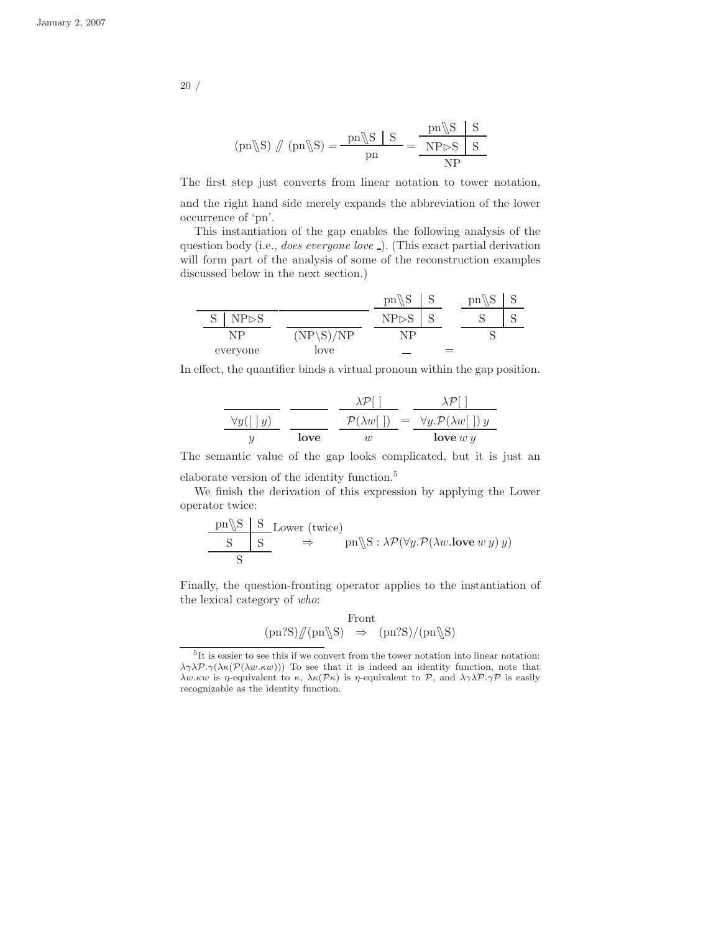$$
(pn\backslash S) \text{ } \text{ } / \text{ } (pn\backslash S) = \frac{pn\backslash S \text{ } | \text{ } S}{pn} = \frac{pn\backslash S \text{ } | \text{ } S}{NP \triangleright S \text{ } | \text{ } S}
$$

The first step just converts from linear notation to tower notation,

and the right hand side merely expands the abbreviation of the lower occurrence of 'pn'.

This instantiation of the gap enables the following analysis of the question body (i.e., does everyone love ). (This exact partial derivation will form part of the analysis of some of the reconstruction examples discussed below in the next section.)

|                      |                 | $\sim$<br>pn |   | υn<br>∼ |  |
|----------------------|-----------------|--------------|---|---------|--|
| Q<br>$P \rhd S$<br>N |                 | NP⊳'         | ∼ |         |  |
| NP                   | /NP<br>NP.<br>N | ΝD           |   |         |  |
| everyone             | love            | --           | = |         |  |

In effect, the quantifier binds a virtual pronoun within the gap position.

$$
\frac{\sqrt{y}(\boxed{y})}{y} \frac{\lambda \mathcal{P}[\ ]}{\text{love}} = \frac{\lambda \mathcal{P}[\ ]}{\mathcal{P}(\lambda w[\ ])} = \frac{\lambda \mathcal{P}[\ ]}{\forall y. \mathcal{P}(\lambda w[\ ]\ y}
$$

The semantic value of the gap looks complicated, but it is just an

elaborate version of the identity function.<sup>5</sup>

 $\overline{a}$ 

We finish the derivation of this expression by applying the Lower operator twice:

$$
\frac{\text{pn} \S \quad S}{\text{S}} \xrightarrow{\text{Lower (twice)}} \text{pn} \S : \lambda \mathcal{P}(\forall y. \mathcal{P}(\lambda w. \text{love } w y) y)
$$

Finally, the question-fronting operator applies to the instantiation of the lexical category of who:

$$
\begin{array}{rcl} \text{Front} \\ (\text{pn?S}) \mathcal{J}(\text{pn}\mathcal{S}) & \Rightarrow & (\text{pn?S}) / (\text{pn}\mathcal{S}) \end{array}
$$

<sup>5</sup> It is easier to see this if we convert from the tower notation into linear notation:  $\lambda \gamma \lambda \mathcal{P}.\gamma(\lambda \kappa(\mathcal{P}(\lambda w.\kappa w)))$  To see that it is indeed an identity function, note that λw.κw is η-equivalent to κ,  $\lambda \kappa(P\kappa)$  is η-equivalent to P, and  $\lambda \gamma \lambda P \gamma P$  is easily recognizable as the identity function.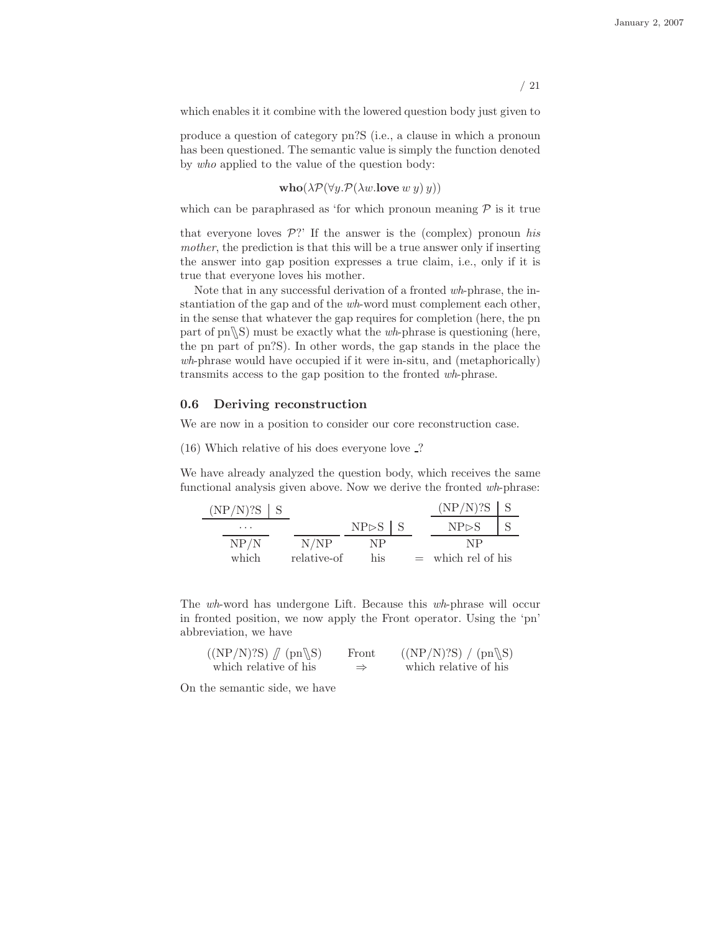which enables it it combine with the lowered question body just given to

produce a question of category pn?S (i.e., a clause in which a pronoun has been questioned. The semantic value is simply the function denoted by who applied to the value of the question body:

 $\mathbf{who}(\lambda \mathcal{P}(\forall y \mathcal{P}(\lambda w.\mathbf{love} w y)\mathcal{Y}))$ 

which can be paraphrased as 'for which pronoun meaning  $P$  is it true

that everyone loves  $\mathcal{P}$ ?' If the answer is the (complex) pronoun his mother, the prediction is that this will be a true answer only if inserting the answer into gap position expresses a true claim, i.e., only if it is true that everyone loves his mother.

Note that in any successful derivation of a fronted wh-phrase, the instantiation of the gap and of the wh-word must complement each other, in the sense that whatever the gap requires for completion (here, the pn part of  $pn\$ S) must be exactly what the *wh*-phrase is questioning (here, the pn part of pn?S). In other words, the gap stands in the place the wh-phrase would have occupied if it were in-situ, and (metaphorically) transmits access to the gap position to the fronted wh-phrase.

#### 0.6 Deriving reconstruction

We are now in a position to consider our core reconstruction case.

(16) Which relative of his does everyone love ?

We have already analyzed the question body, which receives the same functional analysis given above. Now we derive the fronted wh-phrase:

| $(NP/N)$ ?S |             |                           |     | $(NP/N)$ ?S      |  |
|-------------|-------------|---------------------------|-----|------------------|--|
| .           |             | $NP \triangleright S$ $S$ |     | NPSS             |  |
| NP/N        | N/NP        | NP                        |     | NP               |  |
| which       | relative-of | his                       | $=$ | which rel of his |  |

The wh-word has undergone Lift. Because this wh-phrase will occur in fronted position, we now apply the Front operator. Using the 'pn' abbreviation, we have

| $((NP/N)$ ?S $)$ $/ \left($ pn $\S\right)$ | Front         | $((NP/N)$ ?S $) / (pn\$ S) |
|--------------------------------------------|---------------|----------------------------|
| which relative of his                      | $\Rightarrow$ | which relative of his      |

On the semantic side, we have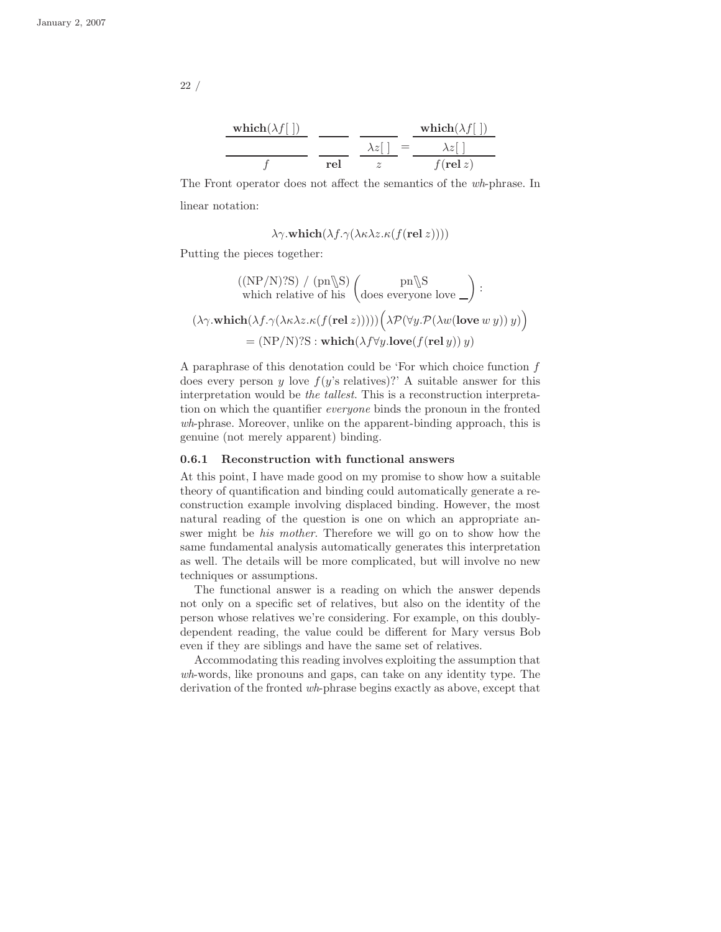$$
\frac{\text{which}(\lambda f[\ ])}{f} \frac{\frac{}{\lambda z[\ ]}}{\text{rel}} = \frac{\frac{\text{which}(\lambda f[\ ])}{\lambda z[\ ]}}{f(\text{rel } z)}
$$

The Front operator does not affect the semantics of the wh-phrase. In linear notation:

$$
\lambda \gamma.\textbf{which}(\lambda f.\gamma(\lambda \kappa \lambda z.\kappa(f(\textbf{rel } z))))
$$

Putting the pieces together:

$$
((NP/N)?S) / (pn \S) \n\begin{pmatrix}\n\text{pn} \S \\
\text{which relative of his} \\
\text{does everyone love } \underline{\hspace{pm}}\n\end{pmatrix} :
$$
\n
$$
(\lambda \gamma \cdot \text{which } (\lambda f. \gamma (\lambda \kappa \lambda z. \kappa (f(\text{rel } z)))) \Big( \lambda \mathcal{P}(\forall y. \mathcal{P}(\lambda w(\text{love } w y)) y) \Big)
$$
\n
$$
= (NP/N)?S : \text{which } (\lambda f \forall y. \text{love}(f(\text{rel } y)) y)
$$

A paraphrase of this denotation could be 'For which choice function  $f$ does every person y love  $f(y)$ 's relatives)?' A suitable answer for this interpretation would be the tallest. This is a reconstruction interpretation on which the quantifier everyone binds the pronoun in the fronted wh-phrase. Moreover, unlike on the apparent-binding approach, this is genuine (not merely apparent) binding.

#### 0.6.1 Reconstruction with functional answers

At this point, I have made good on my promise to show how a suitable theory of quantification and binding could automatically generate a reconstruction example involving displaced binding. However, the most natural reading of the question is one on which an appropriate answer might be his mother. Therefore we will go on to show how the same fundamental analysis automatically generates this interpretation as well. The details will be more complicated, but will involve no new techniques or assumptions.

The functional answer is a reading on which the answer depends not only on a specific set of relatives, but also on the identity of the person whose relatives we're considering. For example, on this doublydependent reading, the value could be different for Mary versus Bob even if they are siblings and have the same set of relatives.

Accommodating this reading involves exploiting the assumption that wh-words, like pronouns and gaps, can take on any identity type. The derivation of the fronted wh-phrase begins exactly as above, except that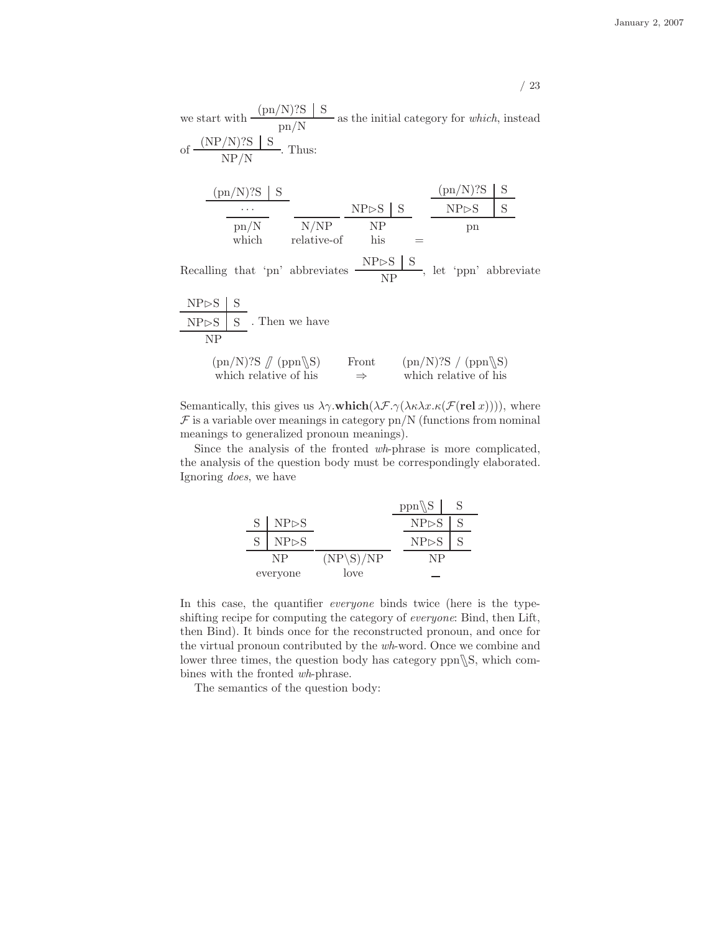we start with  $\frac{\text{(pn/N)}?S \mid S}{\text{(N)}}$  $\frac{1}{\text{pn/N}}$  as the initial category for *which*, instead of  $\frac{\rm (NP/N)$ ?S S  $\frac{1}{N}$ . Thus:

| $(pn/N)$ ?S   |             |                           |  | /N)?S<br>(pn)         |  |
|---------------|-------------|---------------------------|--|-----------------------|--|
| $\cdots$      |             | $NP \triangleright S$ $S$ |  | $NP \triangleright S$ |  |
| $\text{pn/N}$ | N/NP        | NP                        |  | рn                    |  |
| which         | relative-of | his                       |  |                       |  |

Recalling that 'pn' abbreviates  $\frac{\text{NP}\triangleright \text{S} \mid \text{S}}{\text{NP}}$  $\frac{\sqrt{2}}{NP}$ , let 'ppn' abbreviate

| $NP \rhd S$                                        |  |                        |                                                   |  |
|----------------------------------------------------|--|------------------------|---------------------------------------------------|--|
| NPSS                                               |  | . Then we have         |                                                   |  |
| NP                                                 |  |                        |                                                   |  |
| $(pn/N)$ ?S $\pi$ (ppn\S)<br>which relative of his |  | Front<br>$\Rightarrow$ | $(pn/N)$ ?S / $(ppn\$ S)<br>which relative of his |  |

Semantically, this gives us  $\lambda \gamma$ .which( $\lambda \mathcal{F}.\gamma(\lambda \kappa \lambda x.\kappa(\mathcal{F}(\text{rel } x))))$ , where  $\mathcal F$  is a variable over meanings in category pn/N (functions from nominal meanings to generalized pronoun meanings).

Since the analysis of the fronted wh-phrase is more complicated, the analysis of the question body must be correspondingly elaborated. Ignoring does, we have

|          |                       |             | $ppn\$                |  |
|----------|-----------------------|-------------|-----------------------|--|
|          | $S \mid NP \rhd S$    |             | $NP \triangleright S$ |  |
|          | $NP \triangleright S$ |             | $NP \triangleright S$ |  |
| NP       |                       | $(NP\S)/NP$ | NΡ                    |  |
| everyone |                       | love        |                       |  |

In this case, the quantifier *everyone* binds twice (here is the typeshifting recipe for computing the category of everyone: Bind, then Lift, then Bind). It binds once for the reconstructed pronoun, and once for the virtual pronoun contributed by the wh-word. Once we combine and lower three times, the question body has category  $ppn\$ S, which combines with the fronted wh-phrase.

The semantics of the question body: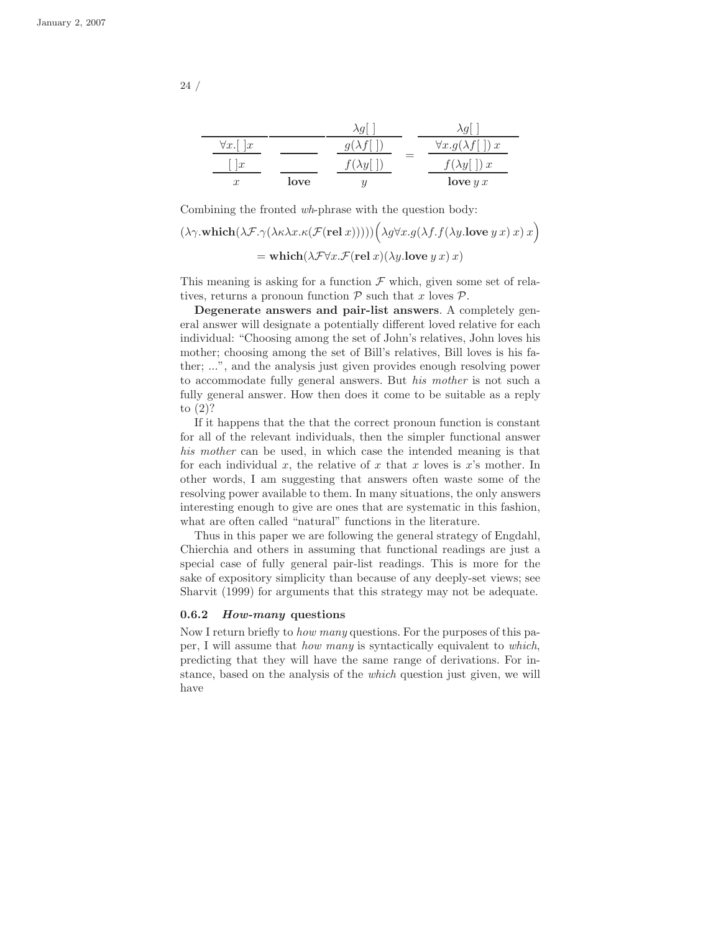|                                  |      | $\lambda g^{\dagger}$ |                                             |
|----------------------------------|------|-----------------------|---------------------------------------------|
| $\forall x.$<br>$\boldsymbol{x}$ |      |                       | $\forall x. g(\lambda f)$<br>$\mathfrak{c}$ |
| $\boldsymbol{x}$                 |      | λU                    | $\mathfrak{c}$<br>$\lambda y$               |
| $\boldsymbol{x}$                 | love |                       | love $y x$                                  |

Combining the fronted wh-phrase with the question body:

$$
(\lambda \gamma \cdot \mathbf{which}(\lambda \mathcal{F}.\gamma(\lambda \kappa \lambda x. \kappa(\mathcal{F}(\mathbf{rel}\,x)))))(\lambda g \forall x. g(\lambda f. f(\lambda y. \mathbf{love}\,y\,x)\,x)
$$

$$
= \mathbf{which}(\lambda \mathcal{F} \forall x. \mathcal{F}(\mathbf{rel}\,x)(\lambda y. \mathbf{love}\,y\,x)\,x)
$$

This meaning is asking for a function  $\mathcal F$  which, given some set of relatives, returns a pronoun function  $P$  such that x loves  $P$ .

Degenerate answers and pair-list answers. A completely general answer will designate a potentially different loved relative for each individual: "Choosing among the set of John's relatives, John loves his mother; choosing among the set of Bill's relatives, Bill loves is his father; ...", and the analysis just given provides enough resolving power to accommodate fully general answers. But his mother is not such a fully general answer. How then does it come to be suitable as a reply to (2)?

If it happens that the that the correct pronoun function is constant for all of the relevant individuals, then the simpler functional answer his mother can be used, in which case the intended meaning is that for each individual x, the relative of x that x loves is  $x$ 's mother. In other words, I am suggesting that answers often waste some of the resolving power available to them. In many situations, the only answers interesting enough to give are ones that are systematic in this fashion, what are often called "natural" functions in the literature.

Thus in this paper we are following the general strategy of Engdahl, Chierchia and others in assuming that functional readings are just a special case of fully general pair-list readings. This is more for the sake of expository simplicity than because of any deeply-set views; see Sharvit (1999) for arguments that this strategy may not be adequate.

#### 0.6.2 How-many questions

Now I return briefly to how many questions. For the purposes of this paper, I will assume that how many is syntactically equivalent to which, predicting that they will have the same range of derivations. For instance, based on the analysis of the which question just given, we will have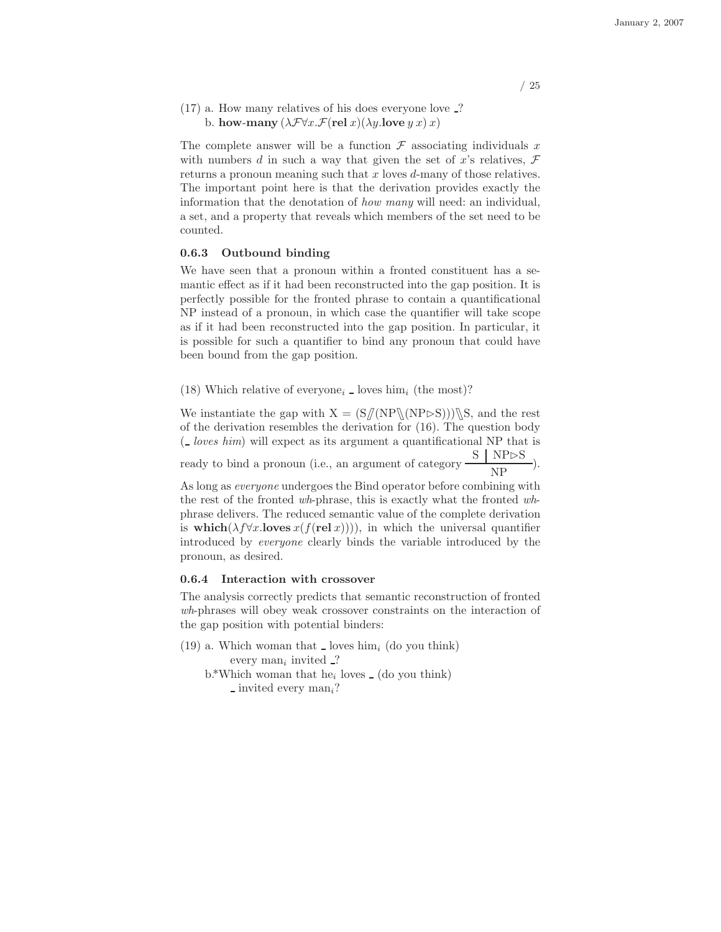$(17)$  a. How many relatives of his does everyone love  $\overline{.}$ ? b. how-many  $(\lambda \mathcal{F} \forall x \mathcal{F}(\text{rel } x)(\lambda y \text{.} \text{love } y \ x) \ x)$ 

The complete answer will be a function  $\mathcal F$  associating individuals x with numbers d in such a way that given the set of x's relatives,  $\mathcal F$ returns a pronoun meaning such that x loves d-many of those relatives. The important point here is that the derivation provides exactly the information that the denotation of how many will need: an individual, a set, and a property that reveals which members of the set need to be counted.

#### 0.6.3 Outbound binding

We have seen that a pronoun within a fronted constituent has a semantic effect as if it had been reconstructed into the gap position. It is perfectly possible for the fronted phrase to contain a quantificational NP instead of a pronoun, in which case the quantifier will take scope as if it had been reconstructed into the gap position. In particular, it is possible for such a quantifier to bind any pronoun that could have been bound from the gap position.

(18) Which relative of everyone<sub>i</sub>  $\Delta$  loves him<sub>i</sub> (the most)?

We instantiate the gap with  $X = (S/(NP\N(NP>S)))\$ S, and the rest of the derivation resembles the derivation for (16). The question body  $\left(\frac{\mu}{\epsilon}\right)$  loves him) will expect as its argument a quantificational NP that is ready to bind a pronoun (i.e., an argument of category  $\frac{S \mid NP \rhd S}{NP}$ ).

As long as everyone undergoes the Bind operator before combining with the rest of the fronted wh-phrase, this is exactly what the fronted whphrase delivers. The reduced semantic value of the complete derivation is which( $\lambda f \forall x$ .loves  $x(f(\text{rel } x)))$ ), in which the universal quantifier introduced by everyone clearly binds the variable introduced by the pronoun, as desired.

#### 0.6.4 Interaction with crossover

The analysis correctly predicts that semantic reconstruction of fronted wh-phrases will obey weak crossover constraints on the interaction of the gap position with potential binders:

- $(19)$  a. Which woman that loves him<sub>i</sub> (do you think) every  $\text{man}_i$  invited  $\cdot$ ?
	- $b.*$ Which woman that he<sub>i</sub> loves  $\overline{\ }$  (do you think)  $\equiv$  invited every man<sub>i</sub>?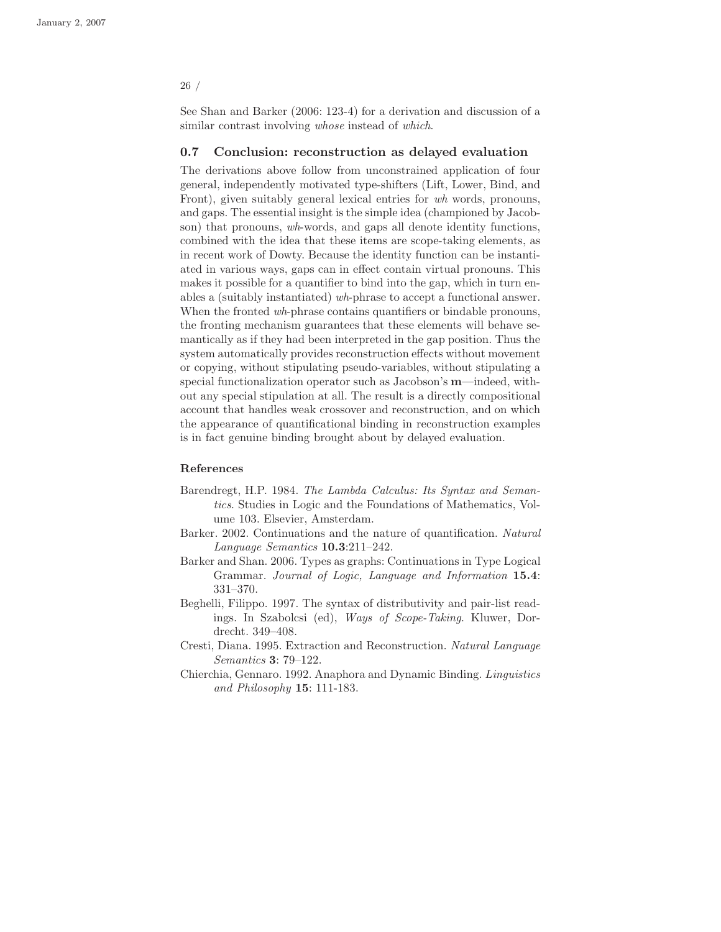See Shan and Barker (2006: 123-4) for a derivation and discussion of a similar contrast involving *whose* instead of *which*.

#### 0.7 Conclusion: reconstruction as delayed evaluation

The derivations above follow from unconstrained application of four general, independently motivated type-shifters (Lift, Lower, Bind, and Front), given suitably general lexical entries for wh words, pronouns, and gaps. The essential insight is the simple idea (championed by Jacobson) that pronouns, wh-words, and gaps all denote identity functions, combined with the idea that these items are scope-taking elements, as in recent work of Dowty. Because the identity function can be instantiated in various ways, gaps can in effect contain virtual pronouns. This makes it possible for a quantifier to bind into the gap, which in turn enables a (suitably instantiated) wh-phrase to accept a functional answer. When the fronted wh-phrase contains quantifiers or bindable pronouns, the fronting mechanism guarantees that these elements will behave semantically as if they had been interpreted in the gap position. Thus the system automatically provides reconstruction effects without movement or copying, without stipulating pseudo-variables, without stipulating a special functionalization operator such as Jacobson's m—indeed, without any special stipulation at all. The result is a directly compositional account that handles weak crossover and reconstruction, and on which the appearance of quantificational binding in reconstruction examples is in fact genuine binding brought about by delayed evaluation.

#### References

- Barendregt, H.P. 1984. The Lambda Calculus: Its Syntax and Semantics. Studies in Logic and the Foundations of Mathematics, Volume 103. Elsevier, Amsterdam.
- Barker. 2002. Continuations and the nature of quantification. Natural Language Semantics 10.3:211–242.
- Barker and Shan. 2006. Types as graphs: Continuations in Type Logical Grammar. Journal of Logic, Language and Information 15.4: 331–370.
- Beghelli, Filippo. 1997. The syntax of distributivity and pair-list readings. In Szabolcsi (ed), Ways of Scope-Taking. Kluwer, Dordrecht. 349–408.
- Cresti, Diana. 1995. Extraction and Reconstruction. Natural Language Semantics 3: 79–122.
- Chierchia, Gennaro. 1992. Anaphora and Dynamic Binding. Linguistics and Philosophy 15: 111-183.